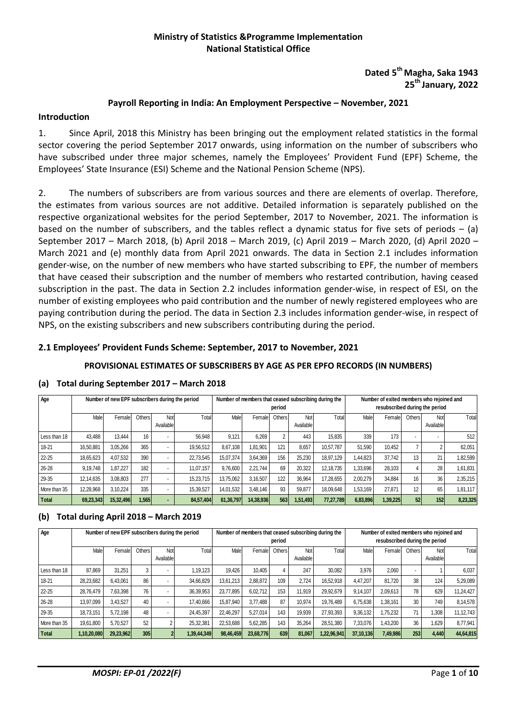# **Ministry of Statistics &Programme Implementation National Statistical Office**

# **Dated 5 th Magha, Saka 1943 25 th January, 2022**

#### **Payroll Reporting in India: An Employment Perspective – November, 2021**

#### **Introduction**

1. Since April, 2018 this Ministry has been bringing out the employment related statistics in the formal sector covering the period September 2017 onwards, using information on the number of subscribers who have subscribed under three major schemes, namely the Employees' Provident Fund (EPF) Scheme, the Employees' State Insurance (ESI) Scheme and the National Pension Scheme (NPS).

2. The numbers of subscribers are from various sources and there are elements of overlap. Therefore, the estimates from various sources are not additive. Detailed information is separately published on the respective organizational websites for the period September, 2017 to November, 2021. The information is based on the number of subscribers, and the tables reflect a dynamic status for five sets of periods – (a) September 2017 – March 2018, (b) April 2018 – March 2019, (c) April 2019 – March 2020, (d) April 2020 – March 2021 and (e) monthly data from April 2021 onwards. The data in Section 2.1 includes information gender-wise, on the number of new members who have started subscribing to EPF, the number of members that have ceased their subscription and the number of members who restarted contribution, having ceased subscription in the past. The data in Section 2.2 includes information gender-wise, in respect of ESI, on the number of existing employees who paid contribution and the number of newly registered employees who are paying contribution during the period. The data in Section 2.3 includes information gender-wise, in respect of NPS, on the existing subscribers and new subscribers contributing during the period.

#### **2.1 Employees' Provident Funds Scheme: September, 2017 to November, 2021**

#### **PROVISIONAL ESTIMATES OF SUBSCRIBERS BY AGE AS PER EPFO RECORDS (IN NUMBERS)**

#### **(a) Total during September 2017 – March 2018**

| Age          |           | Number of new EPF subscribers during the period |               |                          |           |           |           | period         |                  | Number of members that ceased subscribing during the |          | Number of exited members who rejoined and<br>resubscribed during the period |                |                  |          |
|--------------|-----------|-------------------------------------------------|---------------|--------------------------|-----------|-----------|-----------|----------------|------------------|------------------------------------------------------|----------|-----------------------------------------------------------------------------|----------------|------------------|----------|
|              | Malel     | Female                                          | <b>Others</b> | Not<br>Available         | Total     | Male      | Female    | Others         | Not<br>Available | Total                                                | Male     | Female                                                                      | Others         | Not<br>Available | Total    |
| Less than 18 | 43.488    | 13.444                                          | 16            | $\overline{\phantom{a}}$ | 56.948    | 9.121     | 6.269     | $\overline{2}$ | 443              | 15,835                                               | 339      | 173                                                                         | $\blacksquare$ |                  | 512      |
| 18-21        | 16.50.881 | 3.05.266                                        | 365           | $\overline{\phantom{a}}$ | 19.56.512 | 8.67.108  | 1.81.901  | 121            | 8.657            | 10.57.787                                            | 51.590   | 10.452                                                                      |                |                  | 62,051   |
| $22 - 25$    | 18.65.623 | 4.07.532                                        | 390           | $\overline{\phantom{a}}$ | 22,73,545 | 15.07.374 | 3,64,369  | 156            | 25.230           | 18.97.129                                            | 1.44.823 | 37.742                                                                      | 13             | 21               | 1,82,599 |
| 26-28        | 9,19,748  | 1.87.227                                        | 182           | $\overline{\phantom{a}}$ | 11.07.157 | 9,76,600  | 2,21,744  | 69             | 20,322           | 12.18.735                                            | 1,33,696 | 28.103                                                                      |                | 28               | 1,61,831 |
| 29-35        | 12,14,635 | 3.08.803                                        | 277           | $\overline{\phantom{a}}$ | 15.23.715 | 13.75.062 | 3,16,507  | 122            | 36,964           | 17,28,655                                            | 2,00,279 | 34.884                                                                      | 16             | 36               | 2,35,215 |
| More than 35 | 12,28,968 | 3.10.224                                        | 335           | $\overline{\phantom{a}}$ | 15,39,527 | 14,01,532 | 3,48,146  | 93             | 59.877           | 18.09.648                                            | 1,53,169 | 27.871                                                                      | 12             | 65               | 1,81,117 |
| <b>Total</b> | 69,23,343 | 15,32,496                                       | 1,565         |                          | 84,57,404 | 61,36,797 | 14,38,936 | 563            | 1,51,493         | 77,27,789                                            | 6,83,896 | 1,39,225                                                                    | 52             | 152              | 8,23,325 |

#### **(b) Total during April 2018 – March 2019**

| Age          |             | Number of new EPF subscribers during the period |        |                  |             |           |           | period |                  | Number of members that ceased subscribing during the |           | Number of exited members who rejoined and<br>resubscribed during the period |                          |                  |           |
|--------------|-------------|-------------------------------------------------|--------|------------------|-------------|-----------|-----------|--------|------------------|------------------------------------------------------|-----------|-----------------------------------------------------------------------------|--------------------------|------------------|-----------|
|              | Male        | Female                                          | Others | Not<br>Available | Total       | Male      | Female    | Others | Not<br>Available | Total                                                | Male      | Female                                                                      | Others                   | Not<br>Available | Total     |
| Less than 18 | 87.869      | 31.251                                          | 3      |                  | .19.123     | 19.426    | 10.405    |        | 247              | 30.082                                               | 3.976     | 2.060                                                                       | $\overline{\phantom{a}}$ |                  | 6.037     |
| 18-21        | 28,23,682   | 6.43.061                                        | 86     |                  | 34,66,829   | 13.61.213 | 2.88.872  | 109    | 2.724            | 16.52.918                                            | 4.47.207  | 81.720                                                                      | 38                       | 124              | 5,29,089  |
| $22 - 25$    | 28.76.479   | 7.63.398                                        | 76     |                  | 36,39,953   | 23.77.895 | 6.02.712  | 153    | 11.919           | 29.92.679                                            | 9,14,107  | 2.09.613                                                                    | 78                       | 629              | 11.24.427 |
| 26-28        | 13,97,099   | 3,43,527                                        | 40     |                  | 17,40,666   | 15,87,940 | 3.77.488  | 87     | 10.974           | 19.76.489                                            | 6.75.638  | 1.38.161                                                                    | 30                       | 749              | 8,14,578  |
| 29-35        | 18,73,151   | 5.72.198                                        | 48     |                  | 24,45,397   | 22.46.297 | 5,27,014  | 143    | 19,939           | 27.93.393                                            | 9,36,132  | 1.75.232                                                                    | 71                       | 1,308            | 11,12,743 |
| More than 35 | 19.61.800   | 5.70.527                                        | 52     | $\sim$           | 25,32,381   | 22.53.688 | 5.62.285  | 143    | 35.264           | 28.51.380                                            | 7.33.076  | 1.43.200                                                                    | 36                       | 1,629            | 8,77,941  |
| <b>Total</b> | 1,10,20,080 | 29,23,962                                       | 305    |                  | 1,39,44,349 | 98,46,459 | 23,68,776 | 639    | 81.067           | 1,22,96,941                                          | 37.10.136 | 7,49,986                                                                    | 253                      | 4,440            | 44,64,815 |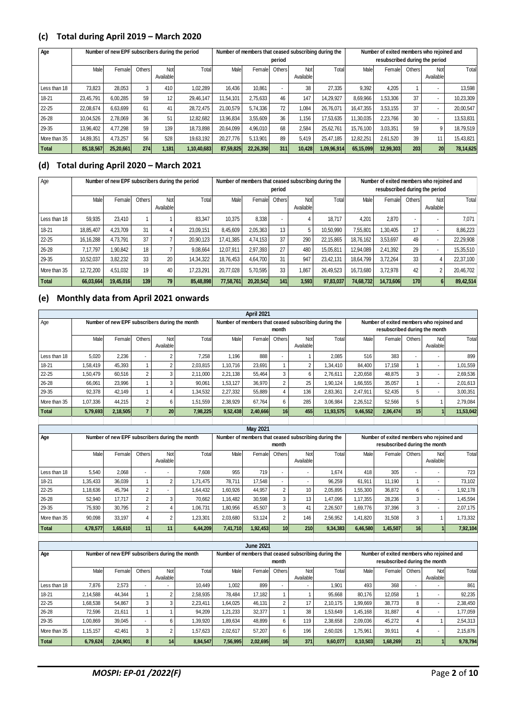### **(c) Total during April 2019 – March 2020**

| Age          |           | Number of new EPF subscribers during the period |        |                  |             |           |           | period                   |                  | Number of members that ceased subscribing during the |           | Number of exited members who rejoined and<br>resubscribed during the period |        |                  |           |
|--------------|-----------|-------------------------------------------------|--------|------------------|-------------|-----------|-----------|--------------------------|------------------|------------------------------------------------------|-----------|-----------------------------------------------------------------------------|--------|------------------|-----------|
|              | Male      | Female                                          | Others | Not<br>Available | Total       | Male      | Female    | Others                   | Not<br>Available | Total                                                | Male      | Female                                                                      | Others | Not<br>Available | Total     |
| Less than 18 | 73.823    | 28.053                                          | 3      | 410              | 1.02.289    | 16.436    | 10.861    | $\overline{\phantom{a}}$ | 38               | 27.335                                               | 9,392     | 4.205                                                                       |        |                  | 13,598    |
| 18-21        | 23,45,791 | 6.00.285                                        | 59     | 12               | 29.46.147   | 11,54,101 | 2,75,633  | 46                       | 147              | 14,29,927                                            | 8,69,966  | 1,53,306                                                                    | 37     |                  | 10,23,309 |
| 22-25        | 22,08,674 | 6,63,699                                        | 61     | 41               | 28,72,475   | 21,00,579 | 5,74,336  | 72                       | 1.084            | 26,76,071                                            | 16,47,355 | 3,53,155                                                                    | 37     |                  | 20,00,547 |
| 26-28        | 10,04,526 | 2.78.069                                        | 36     | 51               | 12,82,682   | 13,96,834 | 3,55,609  | 36                       | 1.156            | 17,53,635                                            | 11,30,035 | 2,23,766                                                                    | 30     |                  | 13,53,831 |
| 29-35        | 13,96,402 | 4,77,298                                        | 59     | 139              | 18,73,898   | 20,64,099 | 4,96,010  | 68                       | 2,584            | 25,62,761                                            | 15,76,100 | 3,03,351                                                                    | 59     | 9                | 18,79,519 |
| More than 35 | 14,89,351 | 4.73.257                                        | 56     | 528              | 19,63,192   | 20,27,776 | 5,13,901  | 89                       | 5,419            | 25,47,185                                            | 12,82,251 | 2,61,520                                                                    | 39     | 11               | 15,43,821 |
| <b>Total</b> | 85,18,567 | 25,20,661                                       | 274    | 1,181            | 1,10,40,683 | 87,59,825 | 22,26,350 | 311                      | 10.428           | 1,09,96,914                                          | 65,15,099 | 12,99,303                                                                   | 203    | 20               | 78,14,625 |

# **(d) Total during April 2020 – March 2021**

| Age          |           | Number of new EPF subscribers during the period |               |                  |           |           |           | period |                  | Number of members that ceased subscribing during the |           | Number of exited members who rejoined and<br>resubscribed during the period |                          |                  |           |
|--------------|-----------|-------------------------------------------------|---------------|------------------|-----------|-----------|-----------|--------|------------------|------------------------------------------------------|-----------|-----------------------------------------------------------------------------|--------------------------|------------------|-----------|
|              | Male      | Femalel                                         | <b>Others</b> | Not<br>Available | Total     | Male      | Female    | Others | Not<br>Available | Total                                                | Malel     | Female                                                                      | Others                   | Not<br>Available | Total     |
| Less than 18 | 59,935    | 23.410                                          |               |                  | 83.347    | 10.375    | 8,338     |        |                  | 18.717                                               | 4.201     | 2.870                                                                       | $\overline{\phantom{a}}$ |                  | 7.071     |
| 18-21        | 18.85.407 | 4.23.709                                        | 31            |                  | 23.09.151 | 8.45.609  | 2.05.363  | 13     |                  | 10.50.990                                            | 7.55.801  | 1.30.405                                                                    | 17                       |                  | 8,86,223  |
| $22 - 25$    | 16,16,288 | 4.73.791                                        | 37            |                  | 20.90.123 | 17.41.385 | 4.74.153  | 37     | 290              | 22.15.865                                            | 18.76.162 | 3.53.697                                                                    | 49                       |                  | 22,29,908 |
| 26-28        | 7.17.797  | .90.842                                         | 18            |                  | 9.08.664  | 12.07.91  | 2.97.393  | 27     | 480              | 15.05.811                                            | 12.94.089 | 2.41.392                                                                    | 29                       |                  | 15,35,510 |
| 29-35        | 10.52.037 | 3.82.232                                        | 33            | 20               | 14.34.322 | 18.76.453 | 4.64.700  | 31     | 947              | 23.42.131                                            | 18.64.799 | 3.72.264                                                                    | 33                       | 4                | 22,37,100 |
| More than 35 | 12,72,200 | 4.51.032                                        | 19            | 40               | 17.23.291 | 20.77.028 | 5.70.595  | 33     | 1,867            | 26.49.523                                            | 16.73.680 | 3.72.978                                                                    | 42                       | 2                | 20,46,702 |
| Total        | 66,03,664 | 19,45,016                                       | 139           | 79               | 85,48,898 | 77.58.761 | 20.20.542 | 141    | 3.593            | 97.83.037                                            | 74.68.732 | 14.73.606                                                                   | <b>170</b>               |                  | 89,42,514 |

### **(e) Monthly data from April 2021 onwards**

|              |          |                                                |                |                  |          |          | April 2021 |                 |                  |                                                      |          |                                                                            |                 |                  |           |
|--------------|----------|------------------------------------------------|----------------|------------------|----------|----------|------------|-----------------|------------------|------------------------------------------------------|----------|----------------------------------------------------------------------------|-----------------|------------------|-----------|
| Age          |          | Number of new EPF subscribers during the month |                |                  |          |          |            | month           |                  | Number of members that ceased subscribing during the |          | Number of exited members who rejoined and<br>resubscribed during the month |                 |                  |           |
|              | Male     | Female                                         | Others         | Not<br>Available | Total    | Male     | Female     | Others          | Not<br>Available | Total                                                | Male     | Female                                                                     | Others          | Not<br>Available | Total     |
| Less than 18 | 5.020    | 2,236                                          | ۰.             |                  | 7.258    | 1.196    | 888        |                 |                  | 2.085                                                | 516      | 383                                                                        |                 |                  | 899       |
| $18 - 21$    | 1,58,419 | 45,393                                         |                |                  | 2,03,815 | 1,10,716 | 23,691     |                 |                  | 1,34,410                                             | 84.400   | 17.158                                                                     |                 |                  | 1,01,559  |
| $22 - 25$    | 1,50,479 | 60.516                                         | $\overline{2}$ | 3                | 2,11,000 | 2,21,138 | 55.464     | 3               | 6                | 2.76.611                                             | 2,20,658 | 48.875                                                                     | 3               |                  | 2,69,536  |
| 26-28        | 66,061   | 23,996                                         |                | 3                | 90.061   | 1,53,127 | 36.970     | $\overline{2}$  | 25               | 1.90.124                                             | 1,66,555 | 35,057                                                                     |                 |                  | 2.01.613  |
| 29-35        | 92,378   | 42.149                                         |                |                  | 1,34,532 | 2,27,332 | 55,889     | 4               | 136              | 2,83,361                                             | 2,47,911 | 52,435                                                                     | 5.              |                  | 3,00,351  |
| More than 35 | 1,07,336 | 44.215                                         | 2              | 6                | 1,51,559 | 2,38,929 | 67.764     | 6               | 285              | 3,06,984                                             | 2,26,512 | 52,566                                                                     | 5               |                  | 2,79,084  |
| <b>Total</b> | 5,79,693 | 2,18,505                                       | ۰,             | 20               | 7,98,225 | 9,52,438 | 2,40,666   | 16 <sup>1</sup> | 455              | 11,93,575                                            | 9,46,552 | 2,06,474                                                                   | 15 <sup>1</sup> |                  | 11,53,042 |
|              |          |                                                |                |                  |          |          |            |                 |                  |                                                      |          |                                                                            |                 |                  |           |

|              |          |                                                |                |                  |          |          | <b>May 2021</b> |                 |                  |                                                      |          |                                           |                 |                  |          |
|--------------|----------|------------------------------------------------|----------------|------------------|----------|----------|-----------------|-----------------|------------------|------------------------------------------------------|----------|-------------------------------------------|-----------------|------------------|----------|
| Age          |          | Number of new EPF subscribers during the month |                |                  |          |          |                 |                 |                  | Number of members that ceased subscribing during the |          | Number of exited members who rejoined and |                 |                  |          |
|              |          |                                                |                |                  |          |          |                 | month           |                  |                                                      |          | resubscribed during the month             |                 |                  |          |
|              | Male     | Female                                         | Others         | Not<br>Available | Total    | Male     | Female          | Others          | Not<br>Available | Total                                                | Male     | Female                                    | Others          | Not<br>Available | Total    |
| Less than 18 | 5,540    | 2,068                                          | $\sim$         |                  | 7,608    | 955      | 719             |                 | ۰.               | 1.674                                                | 418      | 305                                       | ۰               |                  | 723      |
| $18 - 21$    | 1.35.433 | 36,039                                         |                | 2                | 1.71.475 | 78.711   | 17.548          |                 | ۰                | 96.259                                               | 61.911   | 11.190                                    |                 |                  | 73.102   |
| $22 - 25$    | 1,18,636 | 45.794                                         | $\overline{2}$ |                  | 1,64,432 | 1,60,926 | 44,957          | 2               | 10               | 2,05,895                                             | 1,55,300 | 36,872                                    | 6               |                  | 1,92,178 |
| 26-28        | 52,940   | 17.717                                         | $\overline{2}$ | 3                | 70.662   | 16,482   | 30,598          | 3               | 13               | 1.47.096                                             | 1,17,355 | 28,236                                    | 3               | ۰                | 45,594   |
| 29-35        | 75,930   | 30,795                                         | $\overline{2}$ | 4                | 1,06,731 | 80,956   | 45,507          | 3               | 41               | 2,26,507                                             | 1,69,776 | 37,396                                    | 3               |                  | 2,07,175 |
| More than 35 | 90.098   | 33.197                                         | $\overline{4}$ | 2                | 1,23,301 | 2,03,680 | 53.124          | $\overline{2}$  | 146              | 2,56,952                                             | 1.41.820 | 31,508                                    | 3               |                  | 1.73.332 |
| <b>Total</b> | 4,78,577 | 1,65,610                                       | 11             | 11               | 6,44,209 | 7,41,710 | 1,92,453        | 10 <sup>1</sup> | 210              | 9,34,383                                             | 6,46,580 | 1,45,507                                  | 16 <sup>1</sup> |                  | 7,92,104 |
|              |          |                                                |                |                  |          |          |                 |                 |                  |                                                      |          |                                           |                 |                  |          |

|              |          |                                                |        |                  |          |          | <b>June 2021</b> |                 |                  |                                                      |          |                                                                            |        |                  |          |
|--------------|----------|------------------------------------------------|--------|------------------|----------|----------|------------------|-----------------|------------------|------------------------------------------------------|----------|----------------------------------------------------------------------------|--------|------------------|----------|
| Age          |          | Number of new EPF subscribers during the month |        |                  |          |          |                  | month           |                  | Number of members that ceased subscribing during the |          | Number of exited members who rejoined and<br>resubscribed during the month |        |                  |          |
|              | Male     | Female                                         | Others | Not<br>Available | Total    | Male     | Femalel          | Others          | Not<br>Available | Total                                                | Male     | Femalel                                                                    | Others | Not<br>Available | Total    |
| Less than 18 | 7.876    | 2.573                                          | ۰.     |                  | 10.449   | 1.002    | 899              |                 |                  | 1.901                                                | 493      | 368                                                                        | ۰      |                  | 861      |
| 18-21        | 2.14.588 | 44.344                                         |        |                  | 2,58,935 | 78.484   | 17.182           |                 |                  | 95.668                                               | 80.176   | 12.058                                                                     |        |                  | 92,235   |
| 22-25        | 1,68,538 | 54.867                                         | 3      | 3                | 2,23,411 | 1,64,025 | 46.131           | $\overline{2}$  | 17               | 2.10.175                                             | 1,99,669 | 38.773                                                                     | 8      |                  | 2,38,450 |
| 26-28        | 72.596   | 21.611                                         |        |                  | 94.209   | 1.21.233 | 32.377           |                 | 38               | 1,53,649                                             | 1.45.168 | 31.887                                                                     |        |                  | 1,77,059 |
| 29-35        | 1,00,869 | 39.045                                         | ۰.     | 6                | ,39,920  | 1,89,634 | 48,899           | 6               | 119              | 2,38,658                                             | 2,09,036 | 45.272                                                                     |        |                  | 2,54,313 |
| More than 35 | 1,15,157 | 42.461                                         | 3      |                  | 1,57,623 | 2,02,617 | 57.207           | 6               | 196              | 2,60,026                                             | 1,75,961 | 39,911                                                                     | 4      |                  | 2,15,876 |
| Total        | 6,79,624 | 2,04,901                                       | 8      | 141              | 8,84,547 | 7,56,995 | 2,02,695         | 16 <sub>h</sub> | 371              | 9,60,077                                             | 8,10,503 | 1,68,269                                                                   | 21     |                  | 9,78,794 |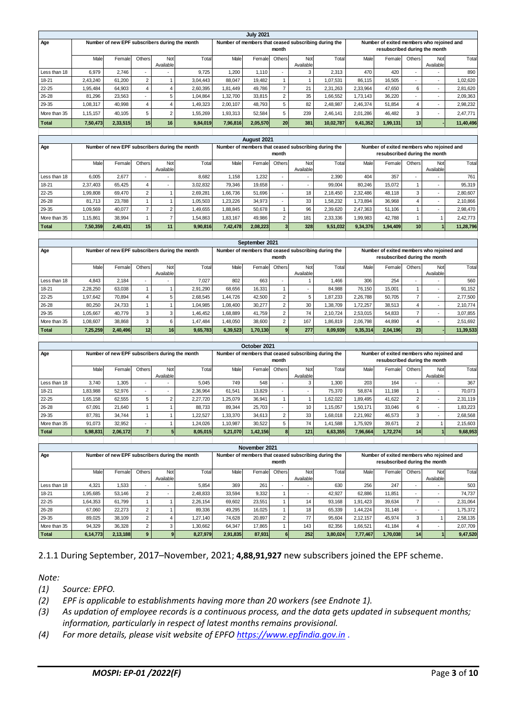|              |          |                                                |                 |           |          |          | <b>July 2021</b> |           |           |                                                      |          |                                           |                 |           |           |
|--------------|----------|------------------------------------------------|-----------------|-----------|----------|----------|------------------|-----------|-----------|------------------------------------------------------|----------|-------------------------------------------|-----------------|-----------|-----------|
| Age          |          | Number of new EPF subscribers during the month |                 |           |          |          |                  |           |           | Number of members that ceased subscribing during the |          | Number of exited members who rejoined and |                 |           |           |
|              |          |                                                |                 |           |          |          |                  | month     |           |                                                      |          | resubscribed during the month             |                 |           |           |
|              | Male     | Female                                         | Others          | Not       | Tota     | Male     | Female           | Others    | Not       | Total                                                | Male     | Female                                    | Others          | Not       | Total     |
|              |          |                                                |                 | Available |          |          |                  |           | Available |                                                      |          |                                           |                 | Available |           |
| Less than 18 | 6,979    | 2.746                                          |                 |           | 9.725    | 1.200    | 1.110            | ۰.        | 3         | 2.313                                                | 470      | 420                                       |                 |           | 890       |
| 18-21        | 2.43.240 | 61.200                                         | 2               |           | 3.04.443 | 88,047   | 19.482           |           |           | 1.07.531                                             | 86.115   | 16.505                                    | ۰.              |           | 1,02,620  |
| $22 - 25$    | 1.95.484 | 64.903                                         | 4               |           | 2,60,395 | 1.81.449 | 49.786           |           | 21        | 2.31.263                                             | 2,33,964 | 47.650                                    | 6               |           | 2,81,620  |
| 26-28        | 81.296   | 23.563                                         |                 | 5         | 1.04.864 | 1,32,700 | 33.815           | 2         | 35        | 1,66,552                                             | 1,73,143 | 36,220                                    | ۰.              |           | 2,09,363  |
| 29-35        | 1.08.317 | 40.998                                         | 4               |           | 1.49.323 | 2.00.107 | 48.793           |           | 82        | 2.48.987                                             | 2,46,374 | 51.854                                    | 4               |           | 2.98.232  |
| More than 35 | 1.15.157 | 40.105                                         | 5               | 2         | 1.55.269 | 1,93,313 | 52.584           | 5         | 239       | 2.46.141                                             | 2.01.286 | 46.482                                    | 3               |           | 2.47.771  |
| <b>Total</b> | 7,50,473 | 2,33,515                                       | 15 <sub>l</sub> | 16        | 9,84,019 | 7,96,816 | 2,05,570         | <b>20</b> | 381       | 10,02,787                                            | 9,41,352 | 1,99,131                                  | 13 <sup>1</sup> |           | 11,40,496 |

|              |          |                                                |                 |                          |          |          | August 2021 |        |           |                                                      |          |                                           |                          |                          |           |
|--------------|----------|------------------------------------------------|-----------------|--------------------------|----------|----------|-------------|--------|-----------|------------------------------------------------------|----------|-------------------------------------------|--------------------------|--------------------------|-----------|
| Age          |          | Number of new EPF subscribers during the month |                 |                          |          |          |             |        |           | Number of members that ceased subscribing during the |          | Number of exited members who rejoined and |                          |                          |           |
|              |          |                                                |                 |                          |          |          |             | month  |           |                                                      |          | resubscribed during the month             |                          |                          |           |
|              | Male     | Female                                         | Others          | Not                      | Total    | Male     | Femalel     | Others | Not       | Total                                                | Male     | Female                                    | Others                   | Not                      | Total     |
|              |          |                                                |                 | Available                |          |          |             |        | Available |                                                      |          |                                           |                          | Available                |           |
| Less than 18 | 6.005    | 2,677                                          | ۰               |                          | 8.682    | 1.158    | 1,232       |        |           | 2.390                                                | 404      | 357                                       | $\overline{\phantom{a}}$ |                          | 761       |
| 18-21        | 2,37,403 | 65.425                                         | 4               | $\overline{\phantom{a}}$ | 3.02.832 | 79.346   | 19.658      |        |           | 99.004                                               | 80.246   | 15.072                                    |                          | $\overline{\phantom{a}}$ | 95,319    |
| $22 - 25$    | 1,99,808 | 69.470                                         | 2               |                          | 2,69,281 | 1,66,736 | 51,696      |        | 18        | 2,18,450                                             | 2,32,486 | 48.118                                    | 3                        |                          | 2,80,607  |
| 26-28        | 81.713   | 23.788                                         |                 |                          | 1,05,503 | 1,23,226 | 34,973      |        | 33        | 1,58,232                                             | 1.73.894 | 36,968                                    | 4                        |                          | 2,10,866  |
| 29-35        | 1.09.569 | 40.077                                         |                 |                          | 1.49.655 | 1.88.845 | 50.678      |        | 96        | 2.39.620                                             | 2.47.363 | 51.106                                    |                          |                          | 2.98.470  |
| More than 35 | 1.15.861 | 38.994                                         |                 |                          | 1.54.863 | 1.83.167 | 49.986      | 2      | 181       | 2,33,336                                             | 1.99.983 | 42.788                                    |                          |                          | 2,42,773  |
| <b>Total</b> | 7,50,359 | 2,40,431                                       | 15 <sub>l</sub> | 11                       | 9,90,816 | 7,42,478 | 2,08,223    |        | 328       | 9,51,032                                             | 9,34,376 | 1,94,409                                  | 10                       |                          | 11,28,796 |
|              |          |                                                |                 |                          |          |          |             |        |           |                                                      |          |                                           |                          |                          |           |

|              |          |                                                |          |                 |                |          | September 2021 |          |           |                                                      |          |                                           |                          |           |           |
|--------------|----------|------------------------------------------------|----------|-----------------|----------------|----------|----------------|----------|-----------|------------------------------------------------------|----------|-------------------------------------------|--------------------------|-----------|-----------|
| Age          |          | Number of new EPF subscribers during the month |          |                 |                |          |                |          |           | Number of members that ceased subscribing during the |          | Number of exited members who rejoined and |                          |           |           |
|              |          |                                                |          |                 |                |          |                | month    |           |                                                      |          | resubscribed during the month             |                          |           |           |
|              | Male     | Female                                         | Others   | Not             | Total          | Male     | Femalel        | Others   | Not       | Total                                                | Male     | Female                                    | Others                   | Not       | Total     |
|              |          |                                                |          | Available       |                |          |                |          | Available |                                                      |          |                                           |                          | Available |           |
| Less than 18 | 4.843    | 2.184                                          |          |                 | 7.027          | 802      | 663            |          |           | 1.466                                                | 306      | 254                                       | $\overline{\phantom{a}}$ |           | 560       |
| $18 - 21$    | 2.28.250 | 63.038                                         |          |                 | 2.91.290       | 68.656   | 16.331         |          |           | 84.988                                               | 76.150   | 15.001                                    |                          |           | 91,152    |
| $22 - 25$    | 1.97.642 | 70.894                                         |          |                 | 2.68.545       | 1.44.726 | 42.500         | 2        | 5         | 1,87,233                                             | 2,26,788 | 50.705                                    |                          |           | 2,77,500  |
| 26-28        | 80.250   | 24.733                                         |          |                 | 1.04.985       | 1,08,400 | 30.277         | c        | 30        | 1.38.709                                             | 1,72,257 | 38,513                                    |                          |           | 2,10,774  |
| 29-35        | 1.05.667 | 40.779                                         | 3        |                 | .46.452        | 1.68.889 | 41.759         | c        | 74        | 2,10,724                                             | 2,53,015 | 54.833                                    |                          |           | 3,07,855  |
| More than 35 | 1.08.607 | 1.47.484                                       | 1.48.050 | 38,600          | $\overline{2}$ | 167      | 1.86.819       | 2,06,798 | 44.890    |                                                      |          | 2,51,692                                  |                          |           |           |
| <b>Total</b> | 7,25,259 | 2,40,496                                       | 12       | 16 <sup>1</sup> | 9,65,783       | 6,39,523 | 1,70,130       |          | 277       | 8,09,939                                             | 9,35,314 | 2,04,196                                  | 23                       |           | 11,39,533 |
|              |          |                                                |          |                 |                |          |                |          |           |                                                      |          |                                           |                          |           |           |

|              |          |                                                |                          |            |          |          | October 2021 |                          |           |                                                      |          |                                           |        |                          |          |
|--------------|----------|------------------------------------------------|--------------------------|------------|----------|----------|--------------|--------------------------|-----------|------------------------------------------------------|----------|-------------------------------------------|--------|--------------------------|----------|
| Age          |          | Number of new EPF subscribers during the month |                          |            |          |          |              |                          |           | Number of members that ceased subscribing during the |          | Number of exited members who rejoined and |        |                          |          |
|              |          |                                                |                          |            |          |          |              | month                    |           |                                                      |          | resubscribed during the month             |        |                          |          |
|              | Male     | Female                                         | Others                   | Not        | Total    | Male     | Femalel      | Others                   | Not       | Total                                                | Male     | Female                                    | Others | Not                      | Total    |
|              |          |                                                |                          | Available  |          |          |              |                          | Available |                                                      |          |                                           |        | Available                |          |
| Less than 18 | 3.740    | 1.305                                          | $\sim$                   | ۰          | 5.045    | 749      | 548          |                          | 3         | 1.300                                                | 203      | 164                                       |        |                          | 367      |
| 18-21        | 1.83.988 | 52.976                                         | $\overline{\phantom{a}}$ |            | 2.36.964 | 61.541   | 13.829       |                          |           | 75.370                                               | 58.874   | 11.198                                    |        |                          | 70,073   |
| $22 - 25$    | 1.65.158 | 62.555                                         | 5                        | $\sqrt{2}$ | 2.27.720 | .25.079  | 36.941       |                          |           | 1.62.022                                             | 1.89.495 | 41.622                                    | 2      | $\overline{\phantom{a}}$ | 2,31,119 |
| 26-28        | 67.091   | 21.640                                         |                          |            | 88.733   | 89.344   | 25.703       | $\overline{\phantom{a}}$ | 10        | 1.5.057                                              | 1.50.171 | 33.046                                    | 6      | $\overline{\phantom{a}}$ | 1,83,223 |
| 29-35        | 87.781   | 34.744                                         |                          |            | 1,22,527 | 1,33,370 | 34.613       | $\overline{2}$           | 33        | 1.68.018                                             | 2,21,992 | 46.573                                    | 3      | $\overline{\phantom{a}}$ | 2,68,568 |
| More than 35 | 91.073   | 32.952                                         | $\overline{\phantom{a}}$ |            | 1.24.026 | 1,10,987 | 30.522       | 5                        | 74        | 1.41.588                                             | 1,75,929 | 39.671                                    | 2      |                          | 2,15,603 |
| <b>Total</b> | 5,98,831 | 2,06,172                                       |                          |            | 8,05,015 | 5,21,070 | 1,42,156     |                          | 121       | 6,63,355                                             | 7,96,664 | 1,72,274                                  | 14     |                          | 9,68,953 |
|              |          |                                                |                          |            |          |          |              |                          |           |                                                      |          |                                           |        |                          |          |

|              |          |                                                |                |           |          |          | November 2021 |                |           |                                                      |          |                                           |                 |           |          |
|--------------|----------|------------------------------------------------|----------------|-----------|----------|----------|---------------|----------------|-----------|------------------------------------------------------|----------|-------------------------------------------|-----------------|-----------|----------|
| Age          |          | Number of new EPF subscribers during the month |                |           |          |          |               |                |           | Number of members that ceased subscribing during the |          | Number of exited members who rejoined and |                 |           |          |
|              |          |                                                |                |           |          |          |               | month          |           |                                                      |          | resubscribed during the month             |                 |           |          |
|              | Male     | Female                                         | Others         | Not       | Total    | Male     | Femalel       | Others         | Not       | Total                                                | Male     | Female                                    | Others          | Not       | Total    |
|              |          |                                                |                | Available |          |          |               |                | Available |                                                      |          |                                           |                 | Available |          |
| Less than 18 | 4.321    | 5.854<br>1.533                                 |                |           |          |          | 261           |                |           | 630                                                  | 256      | 247                                       |                 |           | 503      |
| 18-21        | 1,95,685 | 53.146                                         | 2              |           | 2,48,833 | 33,594   | 9.332         |                |           | 42.927                                               | 62.886   | 11.851                                    |                 |           | 74.737   |
| $22 - 25$    | 1,64,353 | 61.799                                         |                |           | 2.26.154 | 69.602   | 23.551        |                | 14        | 93.168                                               | 1.91.423 | 39.634                                    |                 |           | 2,31,064 |
| 26-28        | 67.060   | 22.273                                         | 2              |           | 89.336   | 49.295   | 16.025        |                | 18        | 65,339                                               | 1.44.224 | 31.148                                    |                 |           | 1.75.372 |
| 29-35        | 89,025   | 38.109                                         | 2              |           | 1.27.140 | 74.628   | 20.897        | $\overline{2}$ | 77        | 95,604                                               | 2.12.157 | 45.974                                    | 3               |           | 2,58,135 |
| More than 35 | 94.329   | 36,328                                         | $\overline{2}$ |           | 1.30.662 | 64.347   | 17.865        |                | 143       | 82,356                                               | 1,66,521 | 41.184                                    |                 |           | 2,07,709 |
| <b>Total</b> | 6.14.773 | 2,13,188                                       | 9              |           | 8,27,979 | 2,91,835 | 87.931        |                | 252       | 3.80.024                                             | 7.77.467 | 1,70,038                                  | 14 <sub>1</sub> |           | 9,47,520 |

2.1.1 During September, 2017–November, 2021; **4,88,91,927** new subscribers joined the EPF scheme.

*Note:*

*(1) Source: EPFO.*

- *(2) EPF is applicable to establishments having more than 20 workers (see Endnote 1).*
- *(3) As updation of employee records is a continuous process, and the data gets updated in subsequent months; information, particularly in respect of latest months remains provisional.*
- *(4) For more details, please visit website of EPFO [https://www.epfindia.gov.in](https://www.epfindia.gov.in/)* .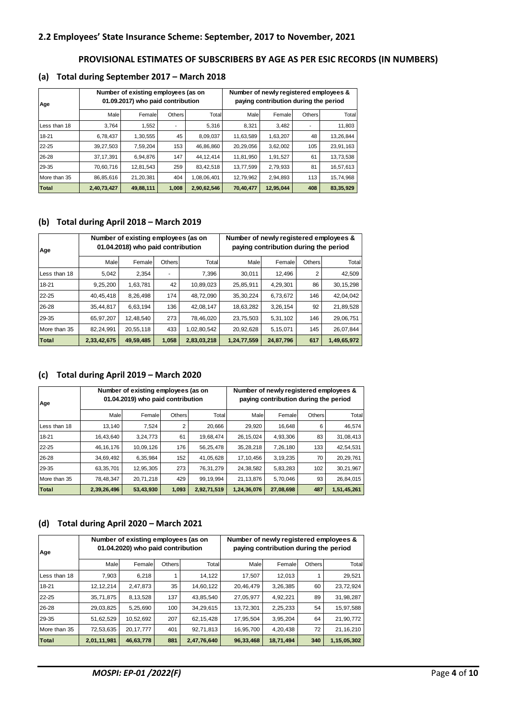### **PROVISIONAL ESTIMATES OF SUBSCRIBERS BY AGE AS PER ESIC RECORDS (IN NUMBERS)**

#### **(a) Total during September 2017 – March 2018**

| Age          |             | Number of existing employees (as on<br>01.09.2017) who paid contribution |               |             | Number of newly registered employees &<br>paying contribution during the period |           |        |           |  |  |  |
|--------------|-------------|--------------------------------------------------------------------------|---------------|-------------|---------------------------------------------------------------------------------|-----------|--------|-----------|--|--|--|
|              | Male        | Female                                                                   | <b>Others</b> | Total       | Male                                                                            | Female    | Others | Total     |  |  |  |
| Less than 18 | 3.764       | 1,552                                                                    |               | 5.316       | 8.321                                                                           | 3.482     |        | 11,803    |  |  |  |
| 18-21        | 6,78,437    | 1,30,555                                                                 | 45            | 8,09,037    | 11,63,589                                                                       | 1,63,207  | 48     | 13,26,844 |  |  |  |
| 22-25        | 39,27,503   | 7,59,204                                                                 | 153           | 46,86,860   | 20,29,056                                                                       | 3,62,002  | 105    | 23,91,163 |  |  |  |
| 26-28        | 37, 17, 391 | 6,94,876                                                                 | 147           | 44, 12, 414 | 11,81,950                                                                       | 1,91,527  | 61     | 13,73,538 |  |  |  |
| 29-35        | 70,60,716   | 12,81,543                                                                | 259           | 83,42,518   | 13,77,599                                                                       | 2,79,933  | 81     | 16,57,613 |  |  |  |
| More than 35 | 86,85,616   | 21,20,381                                                                | 404           | 1,08,06,401 | 12,79,962                                                                       | 2,94,893  | 113    | 15,74,968 |  |  |  |
| <b>Total</b> | 2,40,73,427 | 49,88,111                                                                | 1,008         | 2,90,62,546 | 70,40,477                                                                       | 12,95,044 | 408    | 83,35,929 |  |  |  |

### **(b) Total during April 2018 – March 2019**

| Age          |             | Number of existing employees (as on<br>01.04.2018) who paid contribution |               |             | Number of newly registered employees &<br>paying contribution during the period |           |        |             |  |  |  |
|--------------|-------------|--------------------------------------------------------------------------|---------------|-------------|---------------------------------------------------------------------------------|-----------|--------|-------------|--|--|--|
|              | Male        | Female                                                                   | <b>Others</b> | Total       | Male                                                                            | Female    | Others | Total       |  |  |  |
| Less than 18 | 5.042       | 2.354                                                                    | ۰             | 7.396       | 30.011                                                                          | 12.496    | 2      | 42,509      |  |  |  |
| 18-21        | 9,25,200    | 1,63,781                                                                 | 42            | 10,89,023   | 25,85,911                                                                       | 4,29,301  | 86     | 30, 15, 298 |  |  |  |
| 22-25        | 40,45,418   | 8,26,498                                                                 | 174           | 48,72,090   | 35, 30, 224                                                                     | 6,73,672  | 146    | 42,04,042   |  |  |  |
| 26-28        | 35,44,817   | 6.63.194                                                                 | 136           | 42,08,147   | 18,63,282                                                                       | 3,26,154  | 92     | 21,89,528   |  |  |  |
| 29-35        | 65,97,207   | 12.48.540                                                                | 273           | 78,46,020   | 23,75,503                                                                       | 5,31,102  | 146    | 29,06,751   |  |  |  |
| More than 35 | 82,24,991   | 20.55.118                                                                | 433           | 1,02,80,542 | 20,92,628                                                                       | 5,15,071  | 145    | 26.07.844   |  |  |  |
| Total        | 2,33,42,675 | 49,59,485                                                                | 1,058         | 2,83,03,218 | 1,24,77,559                                                                     | 24,87,796 | 617    | 1,49,65,972 |  |  |  |

### **(c) Total during April 2019 – March 2020**

| Age          |             | Number of existing employees (as on<br>01.04.2019) who paid contribution |        |             | Number of newly registered employees &<br>paying contribution during the period |           |               |             |  |  |  |
|--------------|-------------|--------------------------------------------------------------------------|--------|-------------|---------------------------------------------------------------------------------|-----------|---------------|-------------|--|--|--|
|              | Male        | Female                                                                   | Others | Total       | Male                                                                            | Female    | <b>Others</b> | Total       |  |  |  |
| Less than 18 | 13.140      | 7.524                                                                    | 2      | 20.666      | 29.920                                                                          | 16.648    | 6             | 46.574      |  |  |  |
| 18-21        | 16,43,640   | 3,24,773                                                                 | 61     | 19,68,474   | 26, 15, 024                                                                     | 4,93,306  | 83            | 31,08,413   |  |  |  |
| $22 - 25$    | 46, 16, 176 | 10,09,126                                                                | 176    | 56,25,478   | 35,28,218                                                                       | 7,26,180  | 133           | 42,54,531   |  |  |  |
| 26-28        | 34,69,492   | 6,35,984                                                                 | 152    | 41,05,628   | 17, 10, 456                                                                     | 3,19,235  | 70            | 20,29,761   |  |  |  |
| 29-35        | 63,35,701   | 12,95,305                                                                | 273    | 76,31,279   | 24,38,582                                                                       | 5,83,283  | 102           | 30,21,967   |  |  |  |
| More than 35 | 78.48.347   | 20,71,218                                                                | 429    | 99, 19, 994 | 21, 13, 876                                                                     | 5.70.046  | 93            | 26,84,015   |  |  |  |
| <b>Total</b> | 2,39,26,496 | 53,43,930                                                                | 1,093  | 2,92,71,519 | 1,24,36,076                                                                     | 27,08,698 | 487           | 1,51,45,261 |  |  |  |

#### **(d) Total during April 2020 – March 2021**

| Age          |             | Number of existing employees (as on<br>01.04.2020) who paid contribution |        |             | Number of newly registered employees &<br>paying contribution during the period |           |               |             |  |  |  |
|--------------|-------------|--------------------------------------------------------------------------|--------|-------------|---------------------------------------------------------------------------------|-----------|---------------|-------------|--|--|--|
|              | Male        | Female                                                                   | Others | Total       | Male                                                                            | Female    | <b>Others</b> | Total       |  |  |  |
| Less than 18 | 7,903       | 6,218                                                                    |        | 14,122      | 17.507                                                                          | 12.013    |               | 29,521      |  |  |  |
| 18-21        | 12, 12, 214 | 2,47,873                                                                 |        | 14,60,122   | 20,46,479                                                                       | 3,26,385  | 60            | 23,72,924   |  |  |  |
| 22-25        | 35,71,875   | 8,13,528                                                                 | 137    | 43,85,540   | 27,05,977                                                                       | 4,92,221  | 89            | 31,98,287   |  |  |  |
| 26-28        | 29,03,825   | 5,25,690                                                                 | 100    | 34,29,615   | 13,72,301                                                                       | 2,25,233  | 54            | 15,97,588   |  |  |  |
| 29-35        | 51,62,529   | 10,52,692                                                                | 207    | 62, 15, 428 | 17,95,504                                                                       | 3,95,204  | 64            | 21,90,772   |  |  |  |
| More than 35 | 72,53,635   | 20, 17, 777                                                              | 401    | 92,71,813   | 16,95,700                                                                       | 4,20,438  | 72            | 21, 16, 210 |  |  |  |
| Total        | 2,01,11,981 | 46,63,778                                                                | 881    | 2,47,76,640 | 96,33,468                                                                       | 18,71,494 | 340           | 1,15,05,302 |  |  |  |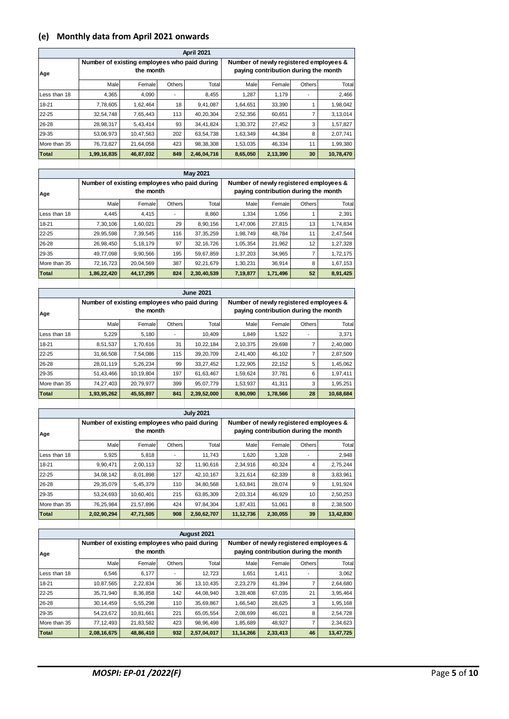### **(e) Monthly data from April 2021 onwards**

|             |           |                          |             | Number of newly registered employees &<br>paying contribution during the month                        |          |               |           |  |  |  |  |  |  |
|-------------|-----------|--------------------------|-------------|-------------------------------------------------------------------------------------------------------|----------|---------------|-----------|--|--|--|--|--|--|
| Male        | Female    |                          | Total       | Male                                                                                                  |          | <b>Others</b> | Total     |  |  |  |  |  |  |
| 4,365       | 4,090     | $\overline{\phantom{a}}$ | 8,455       | 1,287                                                                                                 | 1,179    |               | 2,466     |  |  |  |  |  |  |
| 7,78,605    | 1,62,464  | 18                       | 9,41,087    | 1,64,651                                                                                              | 33,390   |               | 1,98,042  |  |  |  |  |  |  |
| 32,54,748   | 7,65,443  | 113                      | 40,20,304   | 2,52,356                                                                                              | 60,651   |               | 3,13,014  |  |  |  |  |  |  |
| 28,98,317   | 5,43,414  | 93                       | 34,41,824   | 1,30,372                                                                                              | 27,452   | 3             | 1,57,827  |  |  |  |  |  |  |
| 53,06,973   | 10,47,563 | 202                      | 63,54,738   | 1,63,349                                                                                              | 44,384   | 8             | 2,07,741  |  |  |  |  |  |  |
| 76,73,827   | 21,64,058 | 423                      | 98, 38, 308 | 1,53,035                                                                                              | 46,334   | 11            | 1,99,380  |  |  |  |  |  |  |
| 1,99,16,835 | 46,87,032 | 849                      | 2,46,04,716 | 8,65,050                                                                                              | 2,13,390 | 30            | 10,78,470 |  |  |  |  |  |  |
|             |           |                          |             |                                                                                                       |          |               |           |  |  |  |  |  |  |
|             |           |                          | the month   | <b>April 2021</b><br>Number of existing employees who paid during<br><b>Others</b><br><b>May 2021</b> |          |               | Female    |  |  |  |  |  |  |

| Age          | Number of existing employees who paid during | the month   |                          |             | Number of newly registered employees &<br>paying contribution during the month |          |        |          |  |  |
|--------------|----------------------------------------------|-------------|--------------------------|-------------|--------------------------------------------------------------------------------|----------|--------|----------|--|--|
|              | Male                                         | Female      | Others <sup>1</sup>      | Total       | Male                                                                           | Female   | Others | Total    |  |  |
| Less than 18 | 4.445                                        | 4.415       | $\overline{\phantom{a}}$ | 8.860       | 1.334                                                                          | 1.056    |        | 2,391    |  |  |
| 18-21        | 7.30.106                                     | 1,60,021    | 29                       | 8,90,156    | 1,47,006                                                                       | 27.815   | 13     | 1,74,834 |  |  |
| 22-25        | 29,95,598                                    | 7,39,545    | 116                      | 37, 35, 259 | 1.98.749                                                                       | 48.784   | 11     | 2.47.544 |  |  |
| 26-28        | 26,98,450                                    | 5, 18, 179  | 97                       | 32, 16, 726 | 1,05,354                                                                       | 21,962   | 12     | 1,27,328 |  |  |
| 29-35        | 49,77,098                                    | 9,90,566    | 195                      | 59,67,859   | 1,37,203                                                                       | 34,965   |        | 1,72,175 |  |  |
| More than 35 | 72, 16, 723                                  | 20,04,569   | 387                      | 92,21,679   | 1,30,231                                                                       | 36,914   | 8      | 1,67,153 |  |  |
| <b>Total</b> | 1,86,22,420                                  | 44, 17, 295 | 824                      | 2,30,40,539 | 7,19,877                                                                       | 1,71,496 | 52     | 8,91,425 |  |  |

|              |                                              |           |                | <b>June 2021</b> |                                                                                |          |               |           |  |  |  |
|--------------|----------------------------------------------|-----------|----------------|------------------|--------------------------------------------------------------------------------|----------|---------------|-----------|--|--|--|
| Age          | Number of existing employees who paid during | the month |                |                  | Number of newly registered employees &<br>paying contribution during the month |          |               |           |  |  |  |
|              | Male                                         | Female    | <b>Others</b>  | Total            | Male                                                                           | Female   | <b>Others</b> | Total     |  |  |  |
| Less than 18 | 5,229                                        | 5.180     | $\blacksquare$ | 10.409           | 1.849                                                                          | 1,522    |               | 3.371     |  |  |  |
| 18-21        | 8,51,537                                     | 1,70,616  | 31             | 10,22,184        | 2,10,375                                                                       | 29,698   |               | 2,40,080  |  |  |  |
| $22 - 25$    | 31,66,508                                    | 7,54,086  | 115            | 39, 20, 709      | 2,41,400                                                                       | 46,102   |               | 2,87,509  |  |  |  |
| 26-28        | 28,01,119                                    | 5,26,234  | 99             | 33, 27, 452      | 1,22,905                                                                       | 22,152   | 5             | 1,45,062  |  |  |  |
| 29-35        | 51,43,466                                    | 10,19,804 | 197            | 61,63,467        | 1,59,624                                                                       | 37,781   | 6             | 1,97,411  |  |  |  |
| More than 35 | 74,27,403                                    | 20,79,977 | 399            | 95,07,779        | 1,53,937                                                                       | 41,311   | 3             | 1,95,251  |  |  |  |
| <b>Total</b> | 1,93,95,262                                  | 45,55,897 | 841            | 2,39,52,000      | 8,90,090                                                                       | 1,78,566 | 28            | 10,68,684 |  |  |  |
|              |                                              |           |                |                  |                                                                                |          |               |           |  |  |  |

|              |                                              |           |               | <b>July 2021</b> |                                                                                |          |               |           |  |  |  |
|--------------|----------------------------------------------|-----------|---------------|------------------|--------------------------------------------------------------------------------|----------|---------------|-----------|--|--|--|
| Age          | Number of existing employees who paid during | the month |               |                  | Number of newly registered employees &<br>paying contribution during the month |          |               |           |  |  |  |
|              | Male                                         | Female    | <b>Others</b> | Total            | Male                                                                           | Female   | <b>Others</b> | Total     |  |  |  |
| Less than 18 | 5,925                                        | 5,818     |               | 11.743           | 1.620                                                                          | 1.328    |               | 2.948     |  |  |  |
| 18-21        | 9,90,471                                     | 2,00,113  | 32            | 11,90,616        | 2,34,916                                                                       | 40.324   | 4             | 2,75,244  |  |  |  |
| 22-25        | 34,08,142                                    | 8,01,898  | 127           | 42.10.167        | 3,21,614                                                                       | 62,339   | 8             | 3,83,961  |  |  |  |
| 26-28        | 29,35,079                                    | 5,45,379  | 110           | 34,80,568        | 1,63,841                                                                       | 28,074   | 9             | 1,91,924  |  |  |  |
| 29-35        | 53,24,693                                    | 10,60,401 | 215           | 63,85,309        | 2,03,314                                                                       | 46,929   | 10            | 2,50,253  |  |  |  |
| More than 35 | 76,25,984                                    | 21,57,896 | 424           | 97.84.304        | 1,87,431                                                                       | 51,061   | 8             | 2,38,500  |  |  |  |
| Total        | 2,02,90,294                                  | 47,71,505 | 908           | 2,50,62,707      | 11,12,736                                                                      | 2,30,055 | 39            | 13,42,830 |  |  |  |
|              |                                              |           |               |                  |                                                                                |          |               |           |  |  |  |

|              | August 2021                                  |           |        |                          |                                                                                |          |               |           |  |  |  |  |  |  |
|--------------|----------------------------------------------|-----------|--------|--------------------------|--------------------------------------------------------------------------------|----------|---------------|-----------|--|--|--|--|--|--|
| Age          | Number of existing employees who paid during | the month |        |                          | Number of newly registered employees &<br>paying contribution during the month |          |               |           |  |  |  |  |  |  |
|              | Male                                         | Female    | Others | Total                    | Male                                                                           | Female   | <b>Others</b> | Total     |  |  |  |  |  |  |
| Less than 18 | 6,546                                        | 6,177     | 1,411  | $\overline{\phantom{a}}$ | 3,062                                                                          |          |               |           |  |  |  |  |  |  |
| 18-21        | 10,87,565                                    | 2.22.834  | 36     | 13, 10, 435              | 2,23,279                                                                       | 41,394   |               | 2,64,680  |  |  |  |  |  |  |
| $22 - 25$    | 35,71,940                                    | 8,36,858  | 142    | 44,08,940                | 3,28,408                                                                       | 67,035   | 21            | 3,95,464  |  |  |  |  |  |  |
| 26-28        | 30,14,459                                    | 5,55,298  | 110    | 35,69,867                | 1,66,540                                                                       | 28,625   | 3             | 1,95,168  |  |  |  |  |  |  |
| 29-35        | 54,23,672                                    | 10,81,661 | 221    | 65,05,554                | 2.08.699                                                                       | 46,021   | 8             | 2,54,728  |  |  |  |  |  |  |
| More than 35 | 77, 12, 493                                  | 21,83,582 | 423    | 98,96,498                | 1,85,689                                                                       | 48.927   |               | 2,34,623  |  |  |  |  |  |  |
| <b>Total</b> | 2,08,16,675                                  | 48,86,410 | 932    | 2,57,04,017              | 11,14,266                                                                      | 2,33,413 | 46            | 13,47,725 |  |  |  |  |  |  |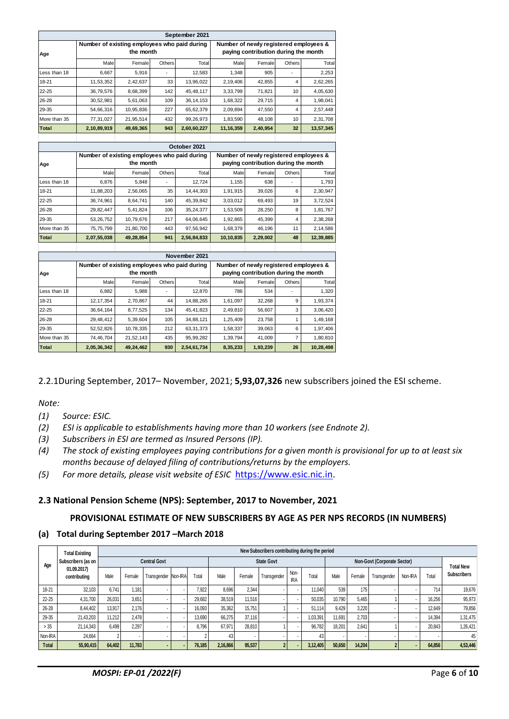|              |                                              |           |        | September 2021 |             |                                                                                |                |           |  |  |  |  |
|--------------|----------------------------------------------|-----------|--------|----------------|-------------|--------------------------------------------------------------------------------|----------------|-----------|--|--|--|--|
| Age          | Number of existing employees who paid during | the month |        |                |             | Number of newly registered employees &<br>paying contribution during the month |                |           |  |  |  |  |
|              | Male                                         | Female    | Others | Total          | Male        | Female                                                                         | Others         | Total     |  |  |  |  |
| Less than 18 | 6,667                                        | 5,916     |        | 12,583         | 1,348       | 905                                                                            |                | 2,253     |  |  |  |  |
| 18-21        | 11,53,352                                    | 2,42,637  | 33     | 13,96,022      | 2,19,406    | 42,855                                                                         | 4              | 2,62,265  |  |  |  |  |
| 22-25        | 36,79,576                                    | 8,68,399  | 142    | 45, 48, 117    | 3,33,799    | 71,821                                                                         | 10             | 4,05,630  |  |  |  |  |
| 26-28        | 30,52,981                                    | 5,61,063  | 109    | 36, 14, 153    | 1,68,322    | 29,715                                                                         | 4              | 1,98,041  |  |  |  |  |
| 29-35        | 54,66,316                                    | 10,95,836 | 227    | 65,62,379      | 2,09,894    | 47,550                                                                         | $\overline{4}$ | 2,57,448  |  |  |  |  |
| More than 35 | 77,31,027                                    | 21,95,514 | 432    | 99,26,973      | 1,83,590    | 48,108                                                                         | 10             | 2,31,708  |  |  |  |  |
| <b>Total</b> | 2,10,89,919                                  | 49,69,365 | 943    | 2,60,60,227    | 11, 16, 359 | 2,40,954<br>32                                                                 |                |           |  |  |  |  |
|              |                                              |           |        |                |             |                                                                                |                |           |  |  |  |  |
|              |                                              |           |        | October 2021   |             |                                                                                |                |           |  |  |  |  |
| Age          | Number of existing employees who paid during | the month |        |                |             | Number of newly registered employees &<br>paying contribution during the month |                |           |  |  |  |  |
|              | Male                                         | Female    | Others | Total          | Male        | Female                                                                         | Others         | Total     |  |  |  |  |
| Less than 18 | 6,876                                        | 5,848     |        | 12,724         | 1,155       | 638                                                                            |                | 1,793     |  |  |  |  |
| 18-21        | 11,88,203                                    | 2,56,065  | 35     | 14,44,303      | 1,91,915    | 39,026                                                                         | 6              | 2,30,947  |  |  |  |  |
| 22-25        | 36,74,961                                    | 8,64,741  | 140    | 45,39,842      | 3,03,012    | 69,493                                                                         | 19             | 3,72,524  |  |  |  |  |
| 26-28        | 29,82,447                                    | 5,41,824  | 106    | 35,24,377      | 1,53,509    | 28,250                                                                         | 8              | 1,81,767  |  |  |  |  |
| 29-35        | 53, 26, 752                                  | 10,79,676 | 217    | 64,06,645      | 1,92,865    | 45,399                                                                         | 4              | 2,38,268  |  |  |  |  |
| More than 35 | 75,75,799                                    | 21,80,700 | 443    | 97,56,942      | 1,68,379    | 46,196                                                                         | 11             | 2,14,586  |  |  |  |  |
| <b>Total</b> | 2,07,55,038                                  | 49,28,854 | 941    | 2,56,84,833    | 10,10,835   | 2,29,002                                                                       | 48             | 12,39,885 |  |  |  |  |
|              |                                              |           |        |                |             |                                                                                |                |           |  |  |  |  |
|              |                                              |           |        | November 2021  |             |                                                                                |                |           |  |  |  |  |
| Age          | Number of existing employees who paid during | the month |        |                |             | Number of newly registered employees &<br>paying contribution during the month |                |           |  |  |  |  |
|              | Male                                         | Female    | Others | Total          | Male        | Female                                                                         | Others         | Total     |  |  |  |  |
| Less than 18 | 6,882                                        | 5,988     |        | 12,870         | 786         | 534                                                                            |                | 1,320     |  |  |  |  |
| 18-21        | 12, 17, 354                                  | 2,70,867  | 44     | 14,88,265      | 1,61,097    | 32,268                                                                         | 9              | 1,93,374  |  |  |  |  |
| 22-25        | 36,64,164                                    | 8,77,525  | 134    | 45,41,823      | 2,49,810    | 56,607                                                                         | 3              | 3,06,420  |  |  |  |  |
| 26-28        | 29,48,412                                    | 5,39,604  | 105    | 34,88,121      | 1,25,409    | 23,758                                                                         | 1              | 1,49,168  |  |  |  |  |
| 29-35        | 52,52,826                                    | 10,78,335 | 212    | 63, 31, 373    | 1,58,337    | 39,063                                                                         | 6              | 1,97,406  |  |  |  |  |
| More than 35 | 74,46,704                                    | 21,52,143 | 435    | 95, 99, 282    | 1,39,794    | 41,009                                                                         | 7              | 1,80,810  |  |  |  |  |
| Total        | 2,05,36,342                                  | 49,24,462 | 930    | 2,54,61,734    | 8,35,233    | 1,93,239                                                                       | 26             | 10,28,498 |  |  |  |  |

### 2.2.1During September, 2017– November, 2021; **5,93,07,326** new subscribers joined the ESI scheme.

#### *Note:*

- *(1) Source: ESIC.*
- *(2) ESI is applicable to establishments having more than 10 workers (see Endnote 2).*
- *(3) Subscribers in ESI are termed as Insured Persons (IP).*
- *(4) The stock of existing employees paying contributions for a given month is provisional for up to at least six months because of delayed filing of contributions/returns by the employers.*
- *(5) For more details, please visit website of ESIC* [https://www.esic.nic.in.](https://www.esic.nic.in/)

### **2.3 National Pension Scheme (NPS): September, 2017 to November, 2021**

#### **PROVISIONAL ESTIMATE OF NEW SUBSCRIBERS BY AGE AS PER NPS RECORDS (IN NUMBERS)**

#### **(a) Total during September 2017 –March 2018**

|           | <b>Total Existing</b>       |        |        |                          |        |          |        | New Subscribers contributing during the period |                    |          |                             |                  |             |                          |        |                    |
|-----------|-----------------------------|--------|--------|--------------------------|--------|----------|--------|------------------------------------------------|--------------------|----------|-----------------------------|------------------|-------------|--------------------------|--------|--------------------|
| Age       | Subscribers (as on          |        |        | <b>Central Govt</b>      |        |          |        | <b>State Govt</b>                              |                    |          | Non-Govt (Corporate Sector) |                  |             |                          |        | <b>Total New</b>   |
|           | 01.09.2017)<br>contributing | Male   | Female | Transgender Non-IRA      | Total  | Male     | Female | Transgender                                    | Non-<br><b>IRA</b> | Total    | Male                        | Female           | Transgender | Non-IRA                  | Total  | <b>Subscribers</b> |
| 18-21     | 32.103                      | 6.741  | 1.181  |                          | 7,922  | 8.696    | 2,344  |                                                |                    | 11.040   | 539                         | 175 <sub>1</sub> |             |                          | 714    | 19,676             |
| $22 - 25$ | 4,31,700                    | 26,031 | 3,651  |                          | 29,682 | 38.519   | 11,516 |                                                |                    | 50,035   | 10.790                      | 5.465            |             |                          | 16,256 | 95,973             |
| 26-28     | 8,44,402                    | 13,917 | 2.176  |                          | 16,093 | 35,362   | 15,751 |                                                |                    | 51.114   | 9.429                       | 3,220            |             |                          | 12,649 | 79,856             |
| 29-35     | 21,43,203                   | 11,212 | 2,478  |                          | 13.690 | 66.275   | 37.116 |                                                |                    | .03.391  | 11.691                      | 2.703            |             |                          | 14.394 | 1,31,475           |
| >35       | 21,14,343                   | 6.499  | 2,297  |                          | 8,796  | 67.971   | 28,810 |                                                |                    | 96,782   | 18.201                      | 2,641            |             |                          | 20,843 | 1,26,421           |
| Non-IRA   | 24.664                      |        |        | $\overline{\phantom{a}}$ |        | 43       |        |                                                |                    | 43       |                             |                  |             | $\overline{\phantom{a}}$ |        | 45                 |
| Total     | 55,90,415                   | 64,402 | 11.783 |                          | 76.185 | 2,16,866 | 95,537 |                                                |                    | 3.12.405 | 50.650                      | 14,204           |             |                          | 64.856 | 4,53,446           |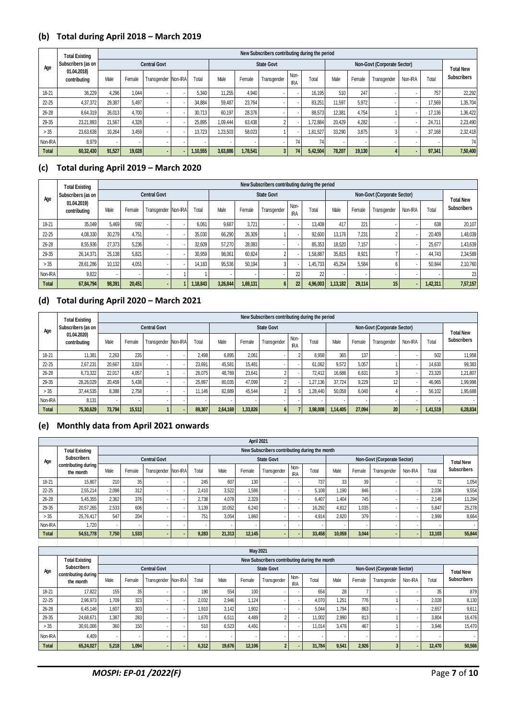#### **(b) Total during April 2018 – March 2019**

|              | <b>Total Existing</b>       |        |        |                     |        |          |          | New Subscribers contributing during the period |                    |          |                             |        |             |                          |                  |                    |
|--------------|-----------------------------|--------|--------|---------------------|--------|----------|----------|------------------------------------------------|--------------------|----------|-----------------------------|--------|-------------|--------------------------|------------------|--------------------|
| Age          | Subscribers (as on          |        |        | <b>Central Govt</b> |        |          |          | <b>State Govt</b>                              |                    |          | Non-Govt (Corporate Sector) |        |             |                          | <b>Total New</b> |                    |
|              | 01.04.2018)<br>contributing | Male   | Female | Transgender Non-IRA | Total  | Male     | Female   | Transgender                                    | Non-<br><b>IRA</b> | Total    | Male                        | Female | Transgender | Non-IRA                  | Total            | <b>Subscribers</b> |
| 18-21        | 36,229                      | 4.296  | 1,044  |                     | 5,340  | 11,255   | 4,940    |                                                |                    | 16.195   | 510                         | 247    |             | $\sim$                   | 757              | 22,292             |
| $22 - 25$    | 4,37,372                    | 29,387 | 5,497  |                     | 34.884 | 59.487   | 23.764   |                                                |                    | 83.251   | 11.597                      | 5,972  |             | $\overline{\phantom{a}}$ | 17.569           | 1,35,704           |
| 26-28        | 8,64,319                    | 26.013 | 4,700  |                     | 30.713 | 60.197   | 28,376   |                                                |                    | 88.573   | 12.381                      | 4.754  |             | $\overline{\phantom{a}}$ | 17.136           | 1,36,422           |
| 29-35        | 23.21.893                   | 21.567 | 4,328  |                     | 25.895 | 1.09.444 | 63.438   |                                                |                    | 1.72.884 | 20.429                      | 4.282  |             | $\overline{\phantom{a}}$ | 24.711           | 2,23,490           |
| >35          | 23.63.638                   | 10.264 | 3.459  |                     | 13.723 | 1.23.503 | 58.023   |                                                |                    | 1.81.527 | 33.290                      | 3.875  |             | $\overline{\phantom{a}}$ | 37.168           | 2.32.418           |
| Non-IRA      | 8,979                       |        |        |                     |        |          |          |                                                | 74                 | 74       | $\overline{\phantom{a}}$    |        |             | $\overline{\phantom{a}}$ |                  | 74                 |
| <b>Total</b> | 60,32,430                   | 91.527 | 19.028 |                     | 10,555 | 3,63,886 | 1.78.541 |                                                | 74                 | 5.42.504 | 78.207                      | 19.130 |             |                          | 97,341           | 7,50,400           |

# **(c) Total during April 2019 – March 2020**

|                                    | <b>Total Existing</b> |        | New Subscribers contributing during the period |                     |       |          |          |             |                    |       |          |                          |                  |         |       |                    |          |
|------------------------------------|-----------------------|--------|------------------------------------------------|---------------------|-------|----------|----------|-------------|--------------------|-------|----------|--------------------------|------------------|---------|-------|--------------------|----------|
| Age<br>01.04.2019)<br>contributing | Subscribers (as on    |        |                                                | <b>Central Govt</b> |       |          |          |             | <b>State Govt</b>  |       |          |                          | <b>Total New</b> |         |       |                    |          |
|                                    | Male                  | Female | Transgender Non-IRA                            |                     | Total | Male     | Female   | Transgender | Non-<br><b>IRA</b> | Total | Male     | Female                   | Transgender      | Non-IRA | Total | <b>Subscribers</b> |          |
| 18-21                              | 35,049                | 5.469  | 592                                            |                     |       | 6.061    | 9,687    | 3,721       |                    |       | 13.408   | 417                      | 221              |         |       | 638                | 20,107   |
| $22 - 25$                          | 4,08,330              | 30,279 | 4.751                                          |                     |       | 35,030   | 66.290   | 26,309      |                    |       | 92.600   | 13,176                   | 7.231            |         |       | 20.409             | 1,48,039 |
| 26-28                              | 8,55,936              | 27.373 | 5.236                                          |                     |       | 32.609   | 57.270   | 28,083      |                    |       | 85.353   | 18.520                   | 7.157            |         |       | 25,677             | 1,43,639 |
| 29-35                              | 26,14,371             | 25,138 | 5,821                                          |                     |       | 30,959   | 98,061   | 60,824      |                    |       | .58,887  | 35,815                   | 8.921            |         |       | 44.743             | 2,34,589 |
| > 35                               | 28.61.286             | 10.132 | 4.051                                          |                     |       | 14.183   | 95,536   | 50.194      |                    |       | 1.45.733 | 45.254                   | 5.584            |         |       | 50.844             | 2,10,760 |
| Non-IRA                            | 9.822                 | ۰      |                                                |                     |       |          |          |             |                    | 22    | 22       | $\overline{\phantom{a}}$ |                  |         |       |                    | 23       |
| <b>Total</b>                       | 67,84,794             | 98,391 | 20,451                                         |                     |       | 1.18.843 | 3,26,844 | 1,69,131    |                    | 22    | 4.96.003 | 1,13,182                 | 29.114           | 15      |       | 1,42,311           | 7,57,157 |

#### **(d) Total during April 2020 – March 2021**

|              | <b>Total Existing</b>       |        |        |                     |        |          |          | New Subscribers contributing during the period |                    |          |          |                  |             |         |          |                    |
|--------------|-----------------------------|--------|--------|---------------------|--------|----------|----------|------------------------------------------------|--------------------|----------|----------|------------------|-------------|---------|----------|--------------------|
| Age          | Subscribers (as on          |        |        | <b>Central Govt</b> |        |          |          | <b>State Govt</b>                              |                    |          |          | <b>Total New</b> |             |         |          |                    |
|              | 01.04.2020)<br>contributing | Male   | Female | Transgender Non-IRA | Total  | Male     | Female   | Transgender                                    | Non-<br><b>IRA</b> | Total    | Male     | Female           | Transgender | Non-IRA | Total    | <b>Subscribers</b> |
| $18 - 21$    | 11.381                      | 2,263  | 235    |                     | 2.498  | 6,895    | 2,061    |                                                |                    | 8.958    | 365      | 137              |             |         | 502      | 11,958             |
| $22 - 25$    | 2.67.231                    | 20.667 | 3.024  |                     | 23.691 | 45.581   | 15.481   |                                                |                    | 61.062   | 9.572    | 5.057            |             |         | 14.630   | 99,383             |
| $26 - 28$    | 6,73,322                    | 22,017 | 4,057  |                     | 26,075 | 48.769   | 23,641   |                                                |                    | 72.412   | 16.686   | 6,631            |             |         | 23,320   | 1,21,807           |
| 29-35        | 28,26,029                   | 20,459 | 5,438  |                     | 25.897 | 80,035   | 47,099   |                                                |                    | 1.27.136 | 37.724   | 9,229            |             |         | 46,965   | 1,99,998           |
| > 35         | 37.44.535                   | 8.388  | 2,758  |                     | 11.146 | 82.889   | 45.544   |                                                |                    | 1.28.440 | 50.058   | 6,040            |             |         | 56.102   | 1,95,688           |
| Non-IRA      | 8.131                       |        |        |                     | ۰.     |          |          |                                                |                    |          |          |                  |             |         |          | . .                |
| <b>Total</b> | 75,30,629                   | 73.794 | 15,512 |                     | 89.307 | 2,64,169 | 1,33,826 |                                                |                    | 3.98.008 | 1,14,405 | 27.094           | 20          |         | 1,41,519 | 6,28,834           |

### **(e) Monthly data from April 2021 onwards**

|              |                                  |                                               |        |                     |  |       |        | April 2021               |             |                    |        |        |                             |                          |         |                  |                    |  |  |
|--------------|----------------------------------|-----------------------------------------------|--------|---------------------|--|-------|--------|--------------------------|-------------|--------------------|--------|--------|-----------------------------|--------------------------|---------|------------------|--------------------|--|--|
|              | <b>Total Existing</b>            | New Subscribers contributing during the month |        |                     |  |       |        |                          |             |                    |        |        |                             |                          |         |                  |                    |  |  |
| Age          | <b>Subscribers</b>               |                                               |        | <b>Central Govt</b> |  |       |        | <b>State Govt</b>        |             |                    |        |        | Non-Govt (Corporate Sector) |                          |         | <b>Total New</b> |                    |  |  |
|              | contributing during<br>the month | Male                                          | Female | Transgender Non-IRA |  | Total | Male   | Female                   | Transgender | Non-<br><b>IRA</b> | Total  | Male   | Female                      | Transgender              | Non-IRA | Total            | <b>Subscribers</b> |  |  |
| 18-21        | 15.807                           | 210                                           | 35     |                     |  | 245   | 607    | 130                      |             |                    | 737    | 33     | 39                          |                          |         | 72               | 1,054              |  |  |
| $22 - 25$    | 2,55,214                         | 2.098                                         | 312    |                     |  | 2.410 | 3.522  | 1.586                    |             |                    | 5.108  | 1.190  | 846                         |                          |         | 2.036            | 9,554              |  |  |
| 26-28        | 5,45,355                         | 2.362                                         | 376    |                     |  | 2.738 | 4,078  | 2,329                    |             |                    | 6.407  | 1.404  | 745                         |                          |         | 2.149            | 11,294             |  |  |
| 29-35        | 20,57,265                        | 2.533                                         | 606    |                     |  | 3.139 | 10.052 | 6,240                    |             |                    | 16,292 | 4.812  | 1.035                       |                          |         | 5,847            | 25,278             |  |  |
| >35          | 25.76.417                        | 547                                           | 204    |                     |  | 751   | 3.054  | 1.860                    |             |                    | 4.914  | 2.620  | 379                         |                          |         | 2.999            | 8,664              |  |  |
| Non-IRA      | .720                             |                                               |        |                     |  |       |        | $\overline{\phantom{a}}$ |             |                    |        | ۰.     |                             |                          |         |                  |                    |  |  |
| <b>Total</b> | 54,51,778                        | 7.750                                         | 1,533  |                     |  | 9.283 | 21,313 | 12,145                   |             |                    | 33.458 | 10.059 | 3.044                       | $\overline{\phantom{a}}$ |         | 13.103           | 55,844             |  |  |
|              |                                  |                                               |        |                     |  |       |        |                          |             |                    |        |        |                             |                          |         |                  |                    |  |  |

|              |                                  |       |                                               |                     |  |       |        | <b>May 2021</b> |                   |                    |        |       |        |                             |         |        |                    |  |  |  |
|--------------|----------------------------------|-------|-----------------------------------------------|---------------------|--|-------|--------|-----------------|-------------------|--------------------|--------|-------|--------|-----------------------------|---------|--------|--------------------|--|--|--|
|              | <b>Total Existing</b>            |       | New Subscribers contributing during the month |                     |  |       |        |                 |                   |                    |        |       |        |                             |         |        |                    |  |  |  |
| Age          | <b>Subscribers</b>               |       |                                               | <b>Central Govt</b> |  |       |        |                 | <b>State Govt</b> |                    |        |       |        | Non-Govt (Corporate Sector) |         |        | <b>Total New</b>   |  |  |  |
|              | contributing during<br>the month | Male  | Female                                        | Transgender Non-IRA |  | Total | Male   | Female          | Transgender       | Non-<br><b>IRA</b> | Total  | Male  | Female | Transgender                 | Non-IRA | Total  | <b>Subscribers</b> |  |  |  |
| 18-21        | 17.822                           | 155   | 35                                            |                     |  | 190   | 554    | 100             |                   |                    | 654    | 28    |        |                             |         | 35     | 879                |  |  |  |
| $22 - 25$    | 2,96,973                         | 1,709 | 323                                           |                     |  | 2.032 | 2,946  | 1,124           |                   |                    | 4.070  | 1.251 | 776    |                             |         | 2.028  | 8,130              |  |  |  |
| 26-28        | 6.45.146                         | 1.607 | 303                                           |                     |  | 1.910 | 3,142  | 1,902           |                   |                    | 5.044  | 1.794 | 863    |                             |         | 2,657  | 9,611              |  |  |  |
| 29-35        | 24,68,671                        | 1.387 | 283                                           |                     |  | 1.670 | 6.511  | 4.489           |                   |                    | 11.002 | 2.990 | 813    |                             |         | 3.804  | 16,476             |  |  |  |
| > 35         | 30,91,006                        | 360   | 150                                           |                     |  | 510   | 6,523  | 4,491           |                   |                    | 11,014 | 3.478 | 467    |                             |         | 3,946  | 15,470             |  |  |  |
| Non-IRA      | 4,409                            |       |                                               |                     |  | ۰     | ۰      | $\sim$          |                   |                    |        |       |        |                             |         |        | $\sim$             |  |  |  |
| <b>Total</b> | 65,24,027                        | 5,218 | 1,094                                         |                     |  | 6,312 | 19,676 | 12,106          |                   |                    | 31,784 | 9,541 | 2,926  |                             |         | 12,470 | 50,566             |  |  |  |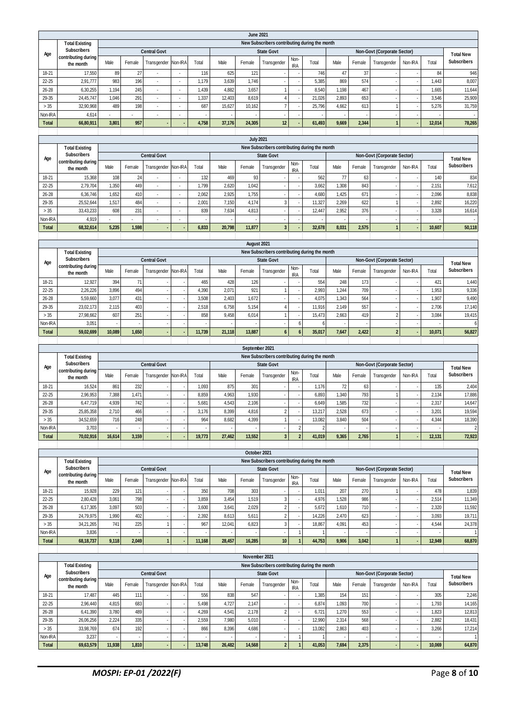|                  |                                           |                                               |                                   |                          |                          |                                 |                          | <b>June 2021</b>                  |                                               |                                |                          |                                   |                          |                                        |                                |        |                                        |
|------------------|-------------------------------------------|-----------------------------------------------|-----------------------------------|--------------------------|--------------------------|---------------------------------|--------------------------|-----------------------------------|-----------------------------------------------|--------------------------------|--------------------------|-----------------------------------|--------------------------|----------------------------------------|--------------------------------|--------|----------------------------------------|
|                  | <b>Total Existing</b>                     |                                               |                                   |                          |                          |                                 |                          |                                   | New Subscribers contributing during the month |                                |                          |                                   |                          |                                        |                                |        |                                        |
| Age              | <b>Subscribers</b><br>contributing during |                                               |                                   | <b>Central Govt</b>      |                          |                                 |                          |                                   | <b>State Govt</b>                             |                                |                          |                                   |                          | <b>Non-Govt (Corporate Sector)</b>     |                                |        | <b>Total New</b>                       |
|                  | the month                                 | Male                                          | Female                            | Transgender              | Non-IRA                  | Total                           | Male                     | Female                            | Transgender                                   | Non-<br><b>IRA</b>             | Total                    | Male                              | Female                   | Transgender                            | Non-IRA                        | Total  | <b>Subscribers</b>                     |
| 18-21            | 17,550                                    | 89                                            | 27                                | $\overline{\phantom{a}}$ | ÷                        | 116                             | 625                      | 121                               |                                               |                                | 746                      | 47                                | 37                       |                                        |                                | 84     | 946                                    |
| 22-25            | 2,91,777                                  | 983                                           | 196                               | $\blacksquare$           | $\blacksquare$           | 1,179                           | 3,639                    | 1,746                             |                                               | $\overline{\phantom{a}}$       | 5,385                    | 869                               | 574                      |                                        | $\overline{\phantom{a}}$       | 1,443  | 8,007                                  |
| 26-28            | 6,30,255                                  | 1,194                                         | 245                               | ÷,                       | $\blacksquare$           | 1,439                           | 4,882                    | 3,657                             | $\mathbf{1}$                                  |                                | 8,540                    | 1,198                             | 467                      |                                        | $\overline{\phantom{a}}$       | 1,665  | 11,644                                 |
| 29-35            | 24,45,747                                 | 1,046                                         | 291                               | $\overline{\phantom{a}}$ | $\blacksquare$           | 1,337                           | 12,403                   | 8,619                             | $\sqrt{4}$                                    | $\overline{\phantom{a}}$       | 21,026                   | 2,893                             | 653                      |                                        | $\overline{\phantom{a}}$       | 3,546  | 25,909                                 |
| > 35             | 32,90,968                                 | 489                                           | 198                               | $\overline{\phantom{a}}$ | ÷,                       | 687                             | 15,627                   | 10,162                            | $\overline{7}$                                |                                | 25,796                   | 4,662                             | 613                      | $\overline{1}$                         | $\overline{\phantom{a}}$       | 5,276  | 31,759                                 |
| Non-IRA          | 4,614                                     | $\overline{\phantom{a}}$                      | $\overline{\phantom{a}}$          | $\overline{\phantom{a}}$ | $\overline{\phantom{a}}$ |                                 | $\overline{\phantom{a}}$ |                                   | $\overline{\phantom{a}}$                      | $\overline{\phantom{a}}$       | $\overline{\phantom{a}}$ |                                   |                          | $\overline{\phantom{a}}$               | $\overline{\phantom{a}}$       |        |                                        |
| <b>Total</b>     | 66,80,911                                 | 3,801                                         | 957                               |                          |                          | 4,758                           | 37,176                   | 24,305                            | 12                                            |                                | 61,493                   | 9,669                             | 2,344                    | $\mathbf{1}$                           |                                | 12,014 | 78,265                                 |
|                  |                                           |                                               |                                   |                          |                          |                                 |                          |                                   |                                               |                                |                          |                                   |                          |                                        |                                |        |                                        |
|                  |                                           |                                               |                                   |                          |                          |                                 |                          | <b>July 2021</b>                  |                                               |                                |                          |                                   |                          |                                        |                                |        |                                        |
|                  | <b>Total Existing</b>                     |                                               |                                   |                          |                          |                                 |                          |                                   | New Subscribers contributing during the month |                                |                          |                                   |                          |                                        |                                |        |                                        |
| Age              | <b>Subscribers</b>                        |                                               |                                   | <b>Central Govt</b>      |                          |                                 |                          |                                   | <b>State Govt</b>                             |                                |                          |                                   |                          | Non-Govt (Corporate Sector)            |                                |        | <b>Total New</b>                       |
|                  | contributing during<br>the month          | Male                                          | Female                            | Transgender              | Non-IRA                  | Total                           | Male                     | Female                            | Transgender                                   | Non-                           | Total                    | Male                              | Female                   | Transgender                            | Non-IRA                        | Total  | <b>Subscribers</b>                     |
| 18-21            | 15,368                                    | 108                                           | 24                                | ÷,                       | $\overline{\phantom{a}}$ | 132                             | 469                      | 93                                |                                               | <b>IRA</b>                     | 562                      | 77                                | 63                       |                                        | ÷,                             | 140    | 834                                    |
| 22-25            | 2,79,704                                  | 1,350                                         | 449                               | $\overline{\phantom{a}}$ | $\overline{\phantom{a}}$ | 1,799                           | 2,620                    | 1,042                             |                                               | $\overline{\phantom{a}}$       | 3,662                    | 1,308                             | 843                      | $\overline{\phantom{a}}$               | $\overline{\phantom{a}}$       | 2,151  | 7,612                                  |
| 26-28            | 6,36,746                                  | 1,652                                         | 410                               | $\overline{\phantom{a}}$ | $\blacksquare$           | 2,062                           | 2,925                    | 1,755                             |                                               | $\overline{\phantom{a}}$       | 4,680                    | 1,425                             | 671                      | ٠                                      | $\overline{\phantom{a}}$       | 2,096  | 8,838                                  |
| 29-35            | 25.52.644                                 | 1,517                                         | 484                               | ÷,                       | $\overline{a}$           | 2,001                           | 7,150                    | 4,174                             | 3                                             |                                | 11,327                   | 2,269                             | 622                      | $\mathbf{1}$                           | $\overline{\phantom{a}}$       | 2,892  | 16,220                                 |
| > 35             | 33,43,233                                 | 608                                           | 231                               | $\overline{\phantom{a}}$ | $\blacksquare$           | 839                             | 7,634                    | 4,813                             | $\overline{\phantom{a}}$                      | $\overline{\phantom{a}}$       | 12,447                   | 2,952                             | 376                      |                                        | $\overline{\phantom{a}}$       | 3,328  | 16,614                                 |
| Non-IRA          | 4,919                                     |                                               |                                   |                          | $\overline{a}$           |                                 |                          |                                   |                                               |                                |                          |                                   |                          |                                        | $\overline{\phantom{a}}$       |        |                                        |
| <b>Total</b>     | 68,32,614                                 | 5,235                                         | 1,598                             |                          |                          | 6,833                           | 20,798                   | 11,877                            | $\overline{\mathbf{3}}$                       |                                | 32,678                   | 8,031                             | 2,575                    | $\mathbf{1}$                           | ٠                              | 10,607 | 50,118                                 |
|                  |                                           |                                               |                                   |                          |                          |                                 |                          |                                   |                                               |                                |                          |                                   |                          |                                        |                                |        |                                        |
|                  |                                           |                                               |                                   |                          |                          |                                 |                          | August 2021                       |                                               |                                |                          |                                   |                          |                                        |                                |        |                                        |
|                  | <b>Total Existing</b>                     | New Subscribers contributing during the month |                                   |                          |                          |                                 |                          |                                   |                                               |                                |                          |                                   |                          |                                        |                                |        |                                        |
| Age              | <b>Subscribers</b>                        |                                               |                                   | <b>Central Govt</b>      |                          |                                 |                          |                                   | <b>State Govt</b>                             |                                |                          |                                   |                          | Non-Govt (Corporate Sector)            |                                |        |                                        |
|                  | contributing during                       | Male                                          | Female                            | Transgender              | Non-IRA                  | Total                           | Male                     | Female                            | Transgender                                   | Non-                           | Total                    | Male                              | Female                   | Transgender                            | Non-IRA                        | Total  | <b>Total New</b><br><b>Subscribers</b> |
|                  | the month                                 |                                               |                                   |                          |                          |                                 |                          |                                   |                                               | <b>IRA</b>                     |                          |                                   |                          |                                        |                                |        |                                        |
| 18-21            | 12,927                                    | 394                                           | 71                                |                          |                          | 465                             | 428                      | 126                               |                                               |                                | 554                      | 248                               | 173                      |                                        | $\overline{\phantom{a}}$       | 421    | 1,440                                  |
| $22 - 25$        | 2,26,226                                  | 3,896                                         | 494                               |                          |                          | 4,390                           | 2,071                    | 921                               | 1                                             | $\overline{\phantom{a}}$       | 2,993                    | 1,244                             | 709                      | J,                                     | $\overline{\phantom{a}}$       | 1,953  | 9,336                                  |
| 26-28            | 5,59,660                                  | 3,077                                         | 431                               | $\overline{\phantom{a}}$ | $\overline{\phantom{a}}$ | 3,508                           | 2,403                    | 1,672                             |                                               | $\overline{\phantom{a}}$       | 4,075                    | 1,343                             | 564                      | $\overline{\phantom{a}}$               | $\overline{\phantom{a}}$       | 1,907  | 9,490                                  |
| 29-35            | 23,02,173                                 | 2,115                                         | 403                               |                          |                          | 2,518                           | 6,758                    | 5,154                             | $\sqrt{4}$                                    | $\overline{\phantom{a}}$       | 11,916                   | 2,149                             | 557                      |                                        | $\overline{\phantom{a}}$       | 2,706  | 17,140                                 |
| > 35<br>Non-IRA  | 27,98,662                                 | 607<br>÷,                                     | 251<br>$\overline{\phantom{a}}$   | $\overline{\phantom{a}}$ |                          | 858                             | 9,458                    | 6,014                             | 1<br>$\overline{a}$                           | $\overline{\phantom{a}}$<br>6  | 15,473<br>6              | 2,663                             | 419                      | $\sqrt{2}$<br>$\overline{\phantom{a}}$ | $\overline{\phantom{a}}$       | 3,084  | 19,415<br>6                            |
| <b>Total</b>     | 3.05'<br>59,02,699                        | 10,089                                        | 1,650                             |                          |                          | 11,739                          | 21,118                   | 13,887                            | $6\phantom{a}$                                | $6\phantom{a}$                 | 35,017                   | 7,647                             | 2.422                    | $\overline{2}$                         | $\overline{\phantom{a}}$<br>٠  | 10,071 | 56,827                                 |
|                  |                                           |                                               |                                   |                          |                          |                                 |                          |                                   |                                               |                                |                          |                                   |                          |                                        |                                |        |                                        |
|                  | September 2021                            |                                               |                                   |                          |                          |                                 |                          |                                   |                                               |                                |                          |                                   |                          |                                        |                                |        |                                        |
|                  |                                           |                                               |                                   |                          |                          |                                 |                          |                                   |                                               |                                |                          |                                   |                          |                                        |                                |        |                                        |
|                  | <b>Total Existing</b>                     |                                               |                                   |                          |                          |                                 |                          |                                   | New Subscribers contributing during the month |                                |                          |                                   |                          |                                        |                                |        |                                        |
|                  | <b>Subscribers</b>                        |                                               |                                   | <b>Central Govt</b>      |                          |                                 |                          |                                   | <b>State Govt</b>                             |                                |                          |                                   |                          | <b>Non-Govt (Corporate Sector)</b>     |                                |        |                                        |
| Age              | contributing during                       |                                               |                                   |                          |                          |                                 |                          |                                   |                                               | Non-                           |                          |                                   |                          |                                        |                                |        | <b>Total New</b><br><b>Subscribers</b> |
|                  | the month                                 | Male                                          | Female                            | Transgender              | Non-IRA                  | Total                           | Male                     | Female                            | Transgender                                   | <b>IRA</b>                     | Total                    | Male                              | Female                   | Transgender                            | Non-IRA                        | Total  |                                        |
| 18-21            | 16,524                                    | 861                                           | 232                               |                          |                          | 1,093                           | 875                      | 301                               |                                               | $\overline{\phantom{a}}$       | 1,176                    | 72                                | 63                       |                                        | $\overline{\phantom{a}}$       | 135    | 2,404                                  |
| $22 - 25$        | 2,96,953                                  | 7,388                                         | 1,471                             |                          |                          | 8,859                           | 4,963                    | 1,930                             |                                               |                                | 6,893                    | 1,340                             | 793                      | $\mathbf{1}$                           | $\overline{\phantom{a}}$       | 2,134  | 17,886                                 |
| 26-28            | 6,47,719                                  | 4,939                                         | 742                               | $\overline{\phantom{a}}$ |                          | 5,681                           | 4,543                    | 2,106                             |                                               | $\overline{\phantom{a}}$       | 6,649                    | 1,585                             | 732                      | $\overline{\phantom{a}}$               | $\overline{\phantom{a}}$       | 2,317  | 14,647                                 |
| 29-35            | 25,85,358                                 | 2,710                                         | 466                               |                          |                          | 3.176                           | 8,399                    | 4,816                             | $\sqrt{2}$                                    |                                | 13.217                   | 2,528                             | 673                      |                                        | ٠                              | 3.201  | 19,594                                 |
| > 35             | 34,52,659                                 | 716<br>×,                                     | 248<br>$\overline{\phantom{a}}$   |                          |                          | 964                             | 8,682                    | 4,399                             | $\mathbf{1}$                                  |                                | 13,082                   | 3,840                             | 504                      |                                        | $\overline{\phantom{a}}$       | 4,344  | 18,390                                 |
| Non-IRA          | 3,703                                     |                                               |                                   |                          |                          |                                 |                          |                                   |                                               | $\overline{2}$                 | $\overline{\mathbf{c}}$  |                                   |                          | $\overline{1}$                         | $\overline{\phantom{a}}$<br>ł, |        |                                        |
| <b>Total</b>     | 70,02,916                                 | 16,614                                        | 3,159                             |                          |                          | 19,773                          | 27,462                   | 13,552                            | $\overline{\mathbf{3}}$                       | $\overline{2}$                 | 41,019                   | 9,365                             | 2,765                    |                                        |                                | 12,131 |                                        |
|                  |                                           |                                               |                                   |                          |                          |                                 |                          | October 2021                      |                                               |                                |                          |                                   |                          |                                        |                                |        |                                        |
|                  | <b>Total Existing</b>                     |                                               |                                   |                          |                          |                                 |                          |                                   | New Subscribers contributing during the month |                                |                          |                                   |                          |                                        |                                |        |                                        |
|                  | <b>Subscribers</b>                        |                                               |                                   | <b>Central Govt</b>      |                          |                                 |                          |                                   | <b>State Govt</b>                             |                                |                          |                                   |                          | Non-Govt (Corporate Sector)            |                                |        |                                        |
| Age              | contributing during                       |                                               |                                   |                          |                          |                                 |                          |                                   |                                               | Non-                           |                          |                                   |                          |                                        |                                |        | <b>Total New</b><br><b>Subscribers</b> |
|                  | the month                                 | Male                                          | Female                            | Transgender              | Non-IRA                  | Total                           | Male                     | Female                            | Transgender                                   | <b>IRA</b>                     | Total                    | Male                              | Female                   | Transgender                            | Non-IRA                        | Total  | $\overline{2}$<br>72,923               |
| 18-21            | 15,928                                    | 229                                           | 121                               |                          |                          | 350                             | 708                      | 303                               |                                               | $\overline{\phantom{a}}$       | 1,011                    | 207                               | 270                      | 1                                      | $\overline{\phantom{a}}$       | 478    | 1,839                                  |
| $22 - 25$        | 2,80,428                                  | 3,061                                         | 798                               | $\blacksquare$           | ÷                        | 3,859                           | 3,454                    | 1,519                             | $\ensuremath{\mathsf{3}}$                     | $\overline{\phantom{a}}$       | 4,976                    | 1,528                             | 986                      | $\overline{\phantom{a}}$               | $\overline{\phantom{a}}$       | 2,514  | 11,349                                 |
| 26-28            | 6,17,305                                  | 3,097                                         | 503                               |                          |                          | 3,600                           | 3,641                    | 2,029                             | $\sqrt{2}$                                    |                                | 5,672                    | 1,610                             | 710                      |                                        | $\overline{\phantom{a}}$       | 2,320  | 11,592                                 |
| 29-35            | 24,79,975                                 | 1,990                                         | 402                               |                          |                          | 2,392                           | 8,613                    | 5,611                             | $\overline{c}$                                | $\overline{\phantom{a}}$       | 14,226                   | 2,470                             | 623                      | J,                                     | $\overline{\phantom{a}}$       | 3,093  | 19,711                                 |
| $>35$            | 34,21,265                                 | 741                                           | 225                               | $\mathbf{1}$             | $\overline{\phantom{a}}$ | 967<br>$\overline{\phantom{a}}$ | 12,041                   | 6,823<br>$\overline{\phantom{a}}$ | 3                                             | $\overline{\phantom{a}}$       | 18,867                   | 4,091<br>$\overline{\phantom{a}}$ | 453                      | $\overline{\phantom{a}}$               | $\overline{\phantom{a}}$       | 4,544  | 24,378                                 |
| Non-IRA          | 3,836                                     | $\overline{\phantom{a}}$                      | $\overline{\phantom{a}}$          | $\overline{\phantom{a}}$ |                          |                                 | $\overline{\phantom{a}}$ |                                   | $\blacksquare$                                | $\overline{1}$                 | $\mathbf{1}$             |                                   | $\overline{\phantom{a}}$ | ÷                                      | $\overline{\phantom{a}}$       |        | $\overline{1}$                         |
| Total            | 68, 18, 737                               | 9,118                                         | 2,049                             | $\mathbf{1}$             |                          | 11,168                          | 28,457                   | 16,285                            | $10$                                          | $\overline{1}$                 | 44,753                   | 9,906                             | 3,042                    | $\mathbf{1}$                           | $\overline{\phantom{a}}$       | 12,949 | 68,870                                 |
|                  |                                           |                                               |                                   |                          |                          |                                 |                          | November 2021                     |                                               |                                |                          |                                   |                          |                                        |                                |        |                                        |
|                  | <b>Total Existing</b>                     |                                               |                                   |                          |                          |                                 |                          |                                   | New Subscribers contributing during the month |                                |                          |                                   |                          |                                        |                                |        |                                        |
|                  | <b>Subscribers</b>                        |                                               |                                   | <b>Central Govt</b>      |                          |                                 |                          |                                   | <b>State Govt</b>                             |                                |                          |                                   |                          | Non-Govt (Corporate Sector)            |                                |        |                                        |
| Age              | contributing during                       |                                               |                                   |                          |                          |                                 |                          |                                   |                                               | Non-                           |                          |                                   |                          |                                        |                                |        | <b>Total New</b>                       |
|                  | the month                                 | Male                                          | Female                            | Transgender              | Non-IRA                  | Total                           | Male                     | Female                            | Transgender                                   | <b>IRA</b>                     | Total                    | Male                              | Female                   | Transgender                            | Non-IRA                        | Total  | <b>Subscribers</b>                     |
| 18-21            | 17,487                                    | 445                                           | 111                               |                          |                          | 556                             | 838                      | 547                               |                                               | $\overline{\phantom{a}}$       | 1,385                    | 154                               | 151                      |                                        | $\overline{\phantom{a}}$       | 305    | 2,246                                  |
| $22 - 25$        | 2,96,440                                  | 4,815                                         | 683                               | $\overline{\phantom{a}}$ |                          | 5,498                           | 4,727                    | 2,147                             |                                               | $\overline{\phantom{a}}$       | 6,874                    | 1,093                             | 700                      |                                        | $\overline{\phantom{a}}$       | 1,793  | 14,165                                 |
| 26-28            | 6,41,390                                  | 3,780                                         | 489                               | ÷,                       |                          | 4,269                           | 4,541                    | 2,178                             | $\sqrt{2}$                                    | $\overline{\phantom{a}}$       | 6,721                    | 1,270                             | 553                      | ÷                                      | $\overline{\phantom{a}}$       | 1,823  | 12,813                                 |
| 29-35            | 26,06,256                                 | 2,224                                         | 335                               | $\overline{\phantom{a}}$ |                          | 2,559                           | 7,980                    | 5,010                             |                                               | $\overline{\phantom{a}}$       | 12,990                   | 2,314                             | 568                      | $\overline{\phantom{a}}$               | $\overline{\phantom{a}}$       | 2,882  | 18,431                                 |
| > 35             | 33,98,769                                 | 674                                           | 192                               |                          |                          | 866                             | 8,396                    | 4,686                             |                                               | $\overline{\phantom{a}}$       | 13,082                   | 2,863                             | 403                      | J,                                     | $\overline{\phantom{a}}$       | 3,266  | 17,214                                 |
| Non-IRA<br>Total | 3,237<br>69,63,579                        | 11,938                                        | $\overline{\phantom{a}}$<br>1,810 | $\overline{\phantom{a}}$ |                          | 13,748                          | 26,482                   | 14,568                            | $\overline{\phantom{a}}$<br>$\overline{2}$    | $\mathbf{1}$<br>$\overline{1}$ | 1<br>41,053              | 7,694                             | 2,375                    | $\overline{\phantom{a}}$               | $\overline{\phantom{a}}$<br>ä, | 10,069 | -1<br>64,870                           |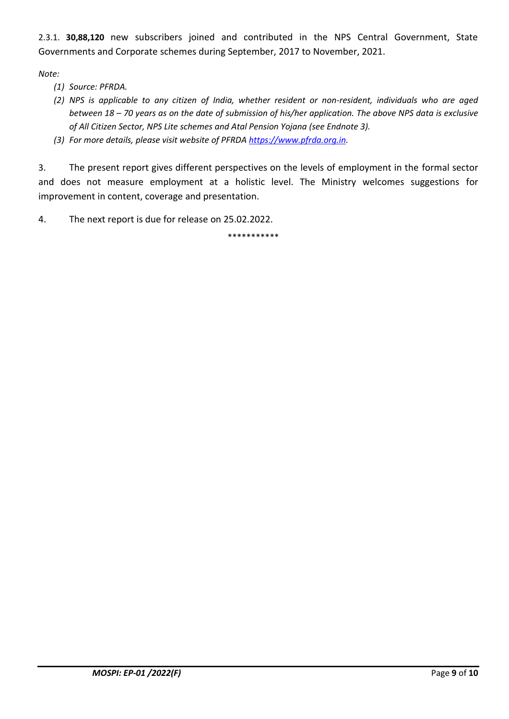2.3.1. **30,88,120** new subscribers joined and contributed in the NPS Central Government, State Governments and Corporate schemes during September, 2017 to November, 2021.

*Note:*

- *(1) Source: PFRDA.*
- *(2) NPS is applicable to any citizen of India, whether resident or non-resident, individuals who are aged between 18 – 70 years as on the date of submission of his/her application. The above NPS data is exclusive of All Citizen Sector, NPS Lite schemes and Atal Pension Yojana (see Endnote 3).*
- *(3) For more details, please visit website of PFRDA [https://www.pfrda.org.in.](https://www.pfrda.org.in/)*

3. The present report gives different perspectives on the levels of employment in the formal sector and does not measure employment at a holistic level. The Ministry welcomes suggestions for improvement in content, coverage and presentation.

4. The next report is due for release on 25.02.2022.

\*\*\*\*\*\*\*\*\*\*\*